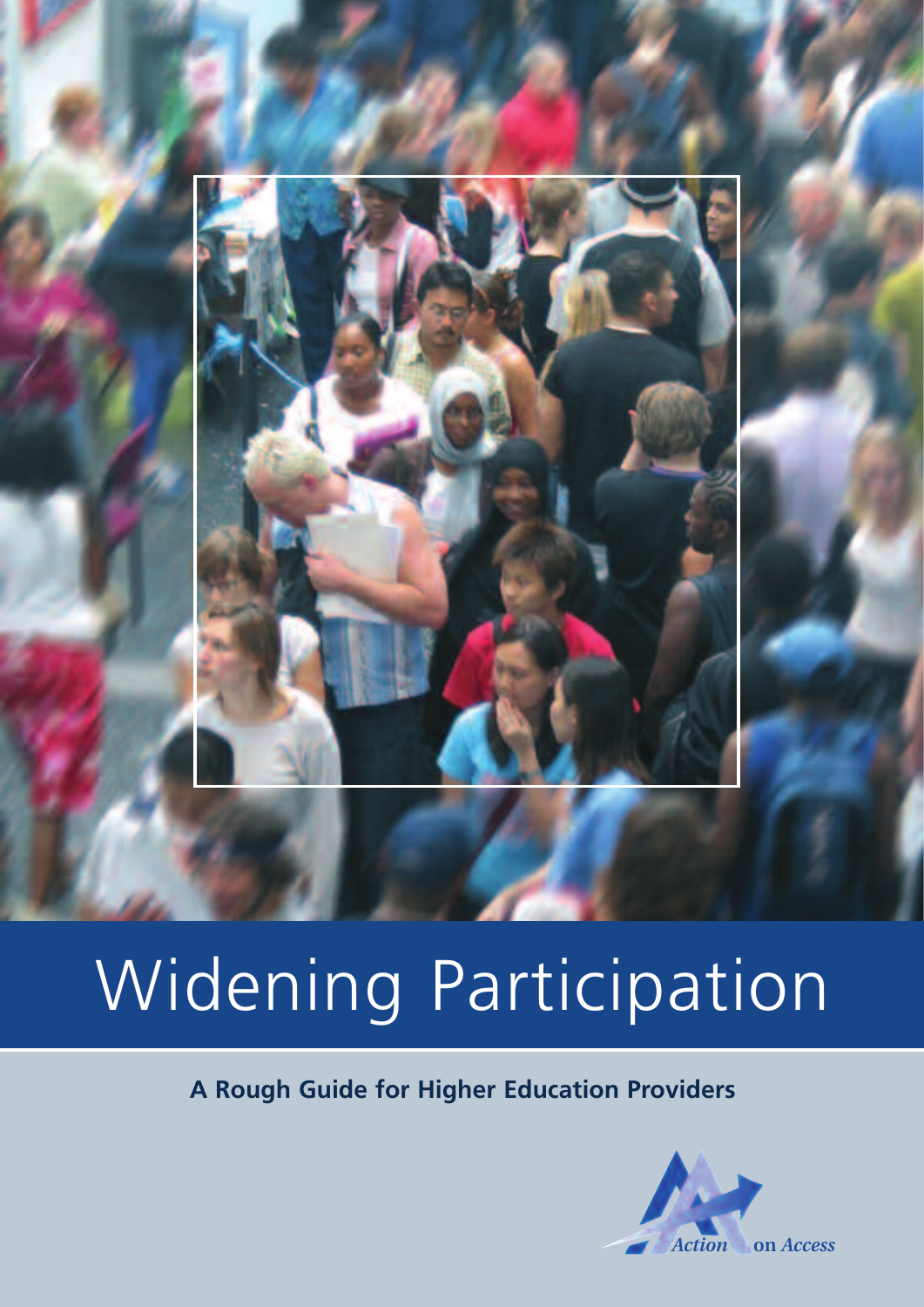

# Widening Participation

**A Rough Guide for Higher Education Providers**

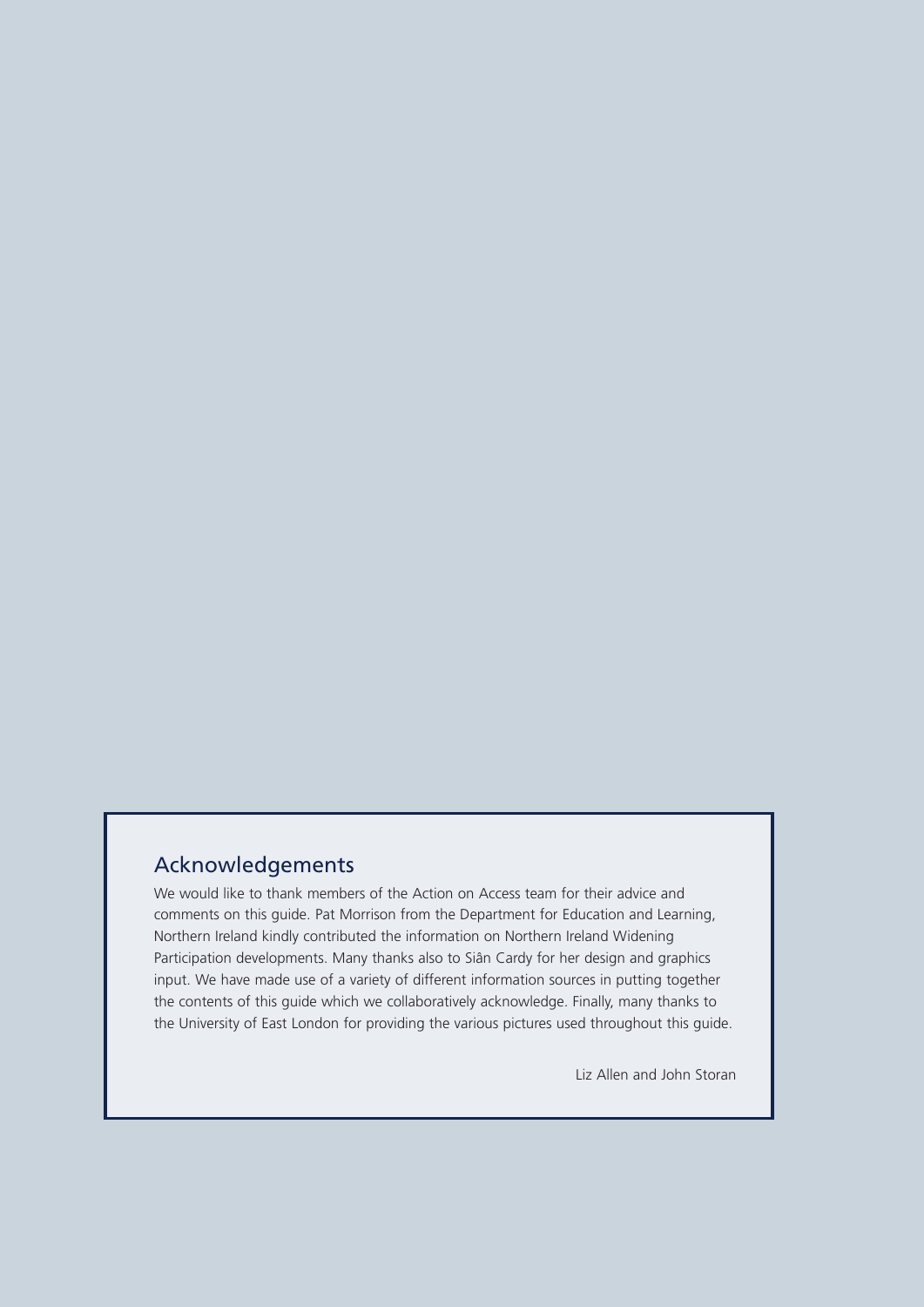#### Acknowledgements

We would like to thank members of the Action on Access team for their advice and comments on this guide. Pat Morrison from the Department for Education and Learning, Northern Ireland kindly contributed the information on Northern Ireland Widening Participation developments. Many thanks also to Siân Cardy for her design and graphics input. We have made use of a variety of different information sources in putting together the contents of this guide which we collaboratively acknowledge. Finally, many thanks to the University of East London for providing the various pictures used throughout this guide.

Liz Allen and John Storan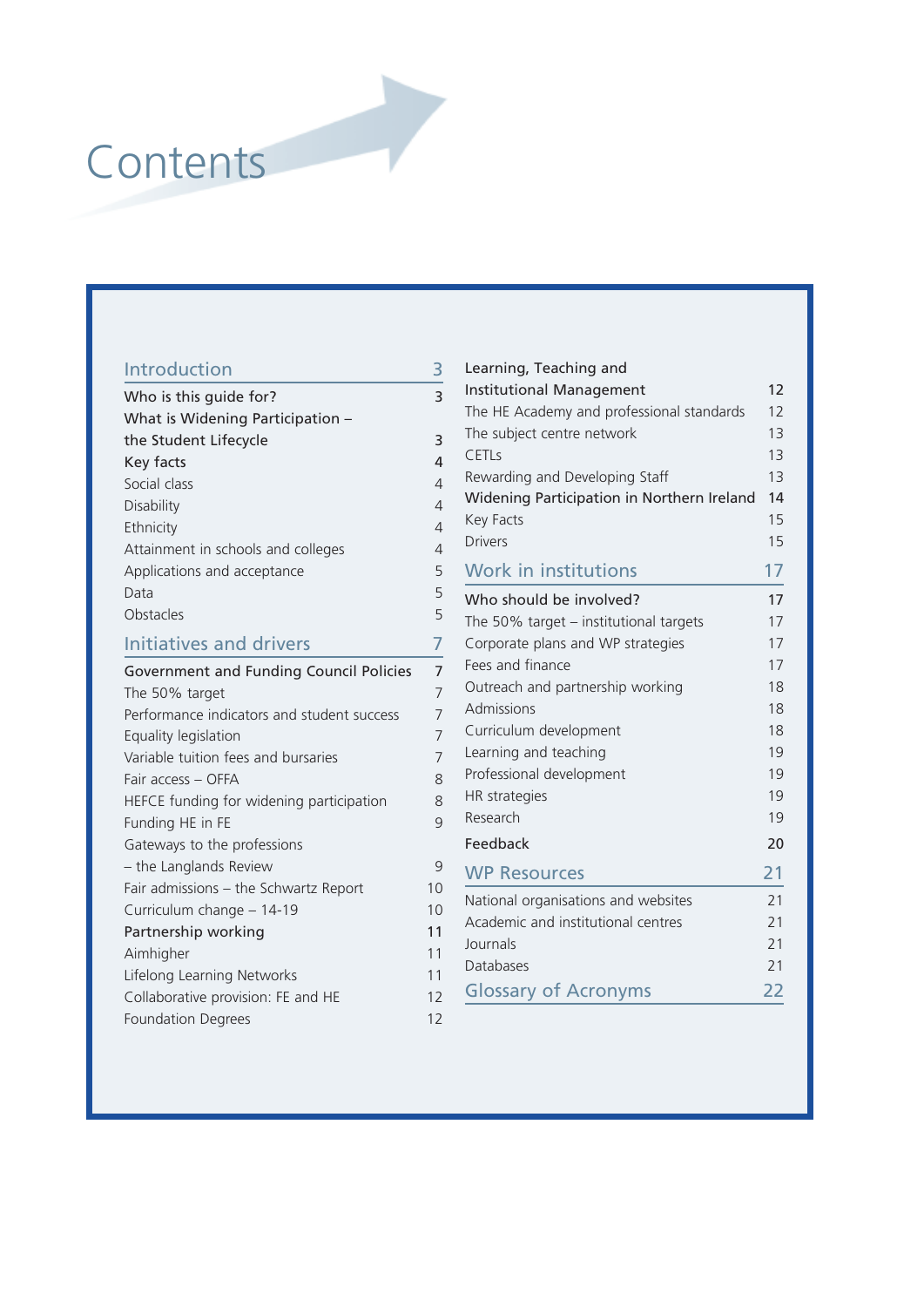## **Contents**

| Introduction                                   | 3              |
|------------------------------------------------|----------------|
| Who is this guide for?                         | 3              |
| What is Widening Participation -               |                |
| the Student Lifecycle                          | 3              |
| Key facts                                      | 4              |
| Social class                                   | $\overline{4}$ |
| Disability                                     | $\overline{4}$ |
| Ethnicity                                      | $\overline{4}$ |
| Attainment in schools and colleges             | 4              |
| Applications and acceptance                    | 5              |
| Data                                           | 5              |
| Obstacles                                      | 5              |
| <b>Initiatives and drivers</b>                 | 7              |
| <b>Government and Funding Council Policies</b> | $\overline{7}$ |
| The 50% target                                 | 7              |
| Performance indicators and student success     | 7              |
| Equality legislation                           | 7              |
| Variable tuition fees and bursaries            | $\overline{7}$ |
| Fair access - OFFA                             | 8              |
| HEFCE funding for widening participation       | 8              |
| Funding HE in FE                               | 9              |
| Gateways to the professions                    |                |
| - the Langlands Review                         | 9              |
| Fair admissions - the Schwartz Report          | 10             |
| Curriculum change - 14-19                      | 10             |
| Partnership working                            | 11             |
| Aimhigher                                      | 11             |
| Lifelong Learning Networks                     | 11             |
| Collaborative provision: FE and HE             | 12             |
| <b>Foundation Degrees</b>                      | 12             |

| Learning, Teaching and                     |    |
|--------------------------------------------|----|
| <b>Institutional Management</b>            | 12 |
| The HE Academy and professional standards  | 12 |
| The subject centre network                 | 13 |
| CETLs                                      | 13 |
| Rewarding and Developing Staff             | 13 |
| Widening Participation in Northern Ireland | 14 |
| Key Facts                                  | 15 |
| <b>Drivers</b>                             | 15 |
| Work in institutions                       | 17 |
| Who should be involved?                    | 17 |
| The 50% target - institutional targets     | 17 |
| Corporate plans and WP strategies          | 17 |
| Fees and finance                           | 17 |
| Outreach and partnership working           | 18 |
| Admissions                                 | 18 |
| Curriculum development                     | 18 |
| Learning and teaching                      | 19 |
| Professional development                   | 19 |
| HR strategies                              | 19 |
| Research                                   | 19 |
| Feedback                                   | 20 |
| <b>WP Resources</b>                        | 21 |
| National organisations and websites        | 21 |
| Academic and institutional centres         | 21 |
| Journals                                   | 21 |
| Databases                                  | 21 |
| <b>Glossary of Acronyms</b>                | 22 |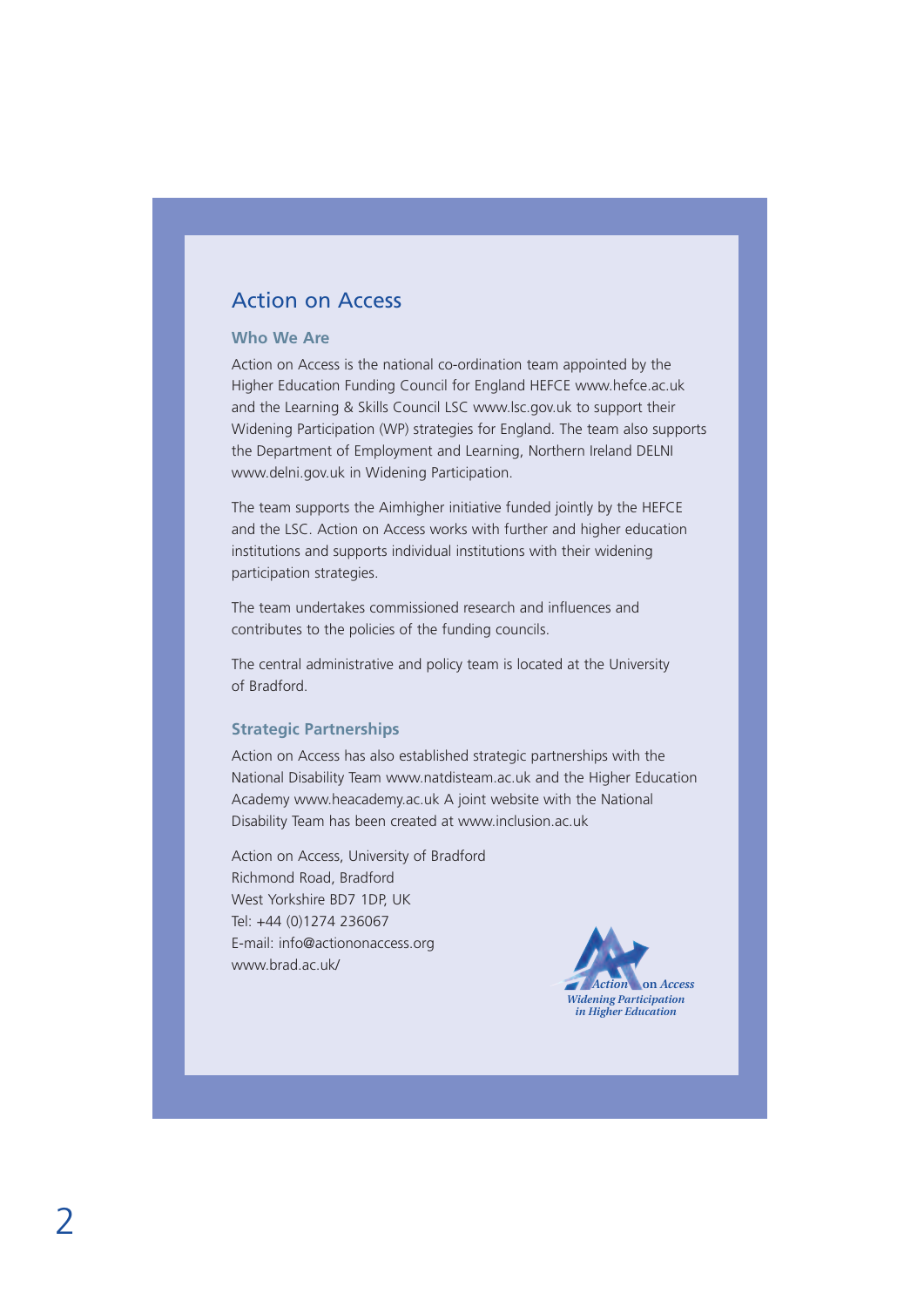#### Action on Access

#### **Who We Are**

Action on Access is the national co-ordination team appointed by the Higher Education Funding Council for England HEFCE www.hefce.ac.uk and the Learning & Skills Council LSC www.lsc.gov.uk to support their Widening Participation (WP) strategies for England. The team also supports the Department of Employment and Learning, Northern Ireland DELNI www.delni.gov.uk in Widening Participation.

The team supports the Aimhigher initiative funded jointly by the HEFCE and the LSC. Action on Access works with further and higher education institutions and supports individual institutions with their widening participation strategies.

The team undertakes commissioned research and influences and contributes to the policies of the funding councils.

The central administrative and policy team is located at the University of Bradford.

#### **Strategic Partnerships**

Action on Access has also established strategic partnerships with the National Disability Team www.natdisteam.ac.uk and the Higher Education Academy www.heacademy.ac.uk A joint website with the National Disability Team has been created at www.inclusion.ac.uk

Action on Access, University of Bradford Richmond Road, Bradford West Yorkshire BD7 1DP, UK Tel: +44 (0)1274 236067 E-mail: info@actiononaccess.org www.brad.ac.uk/

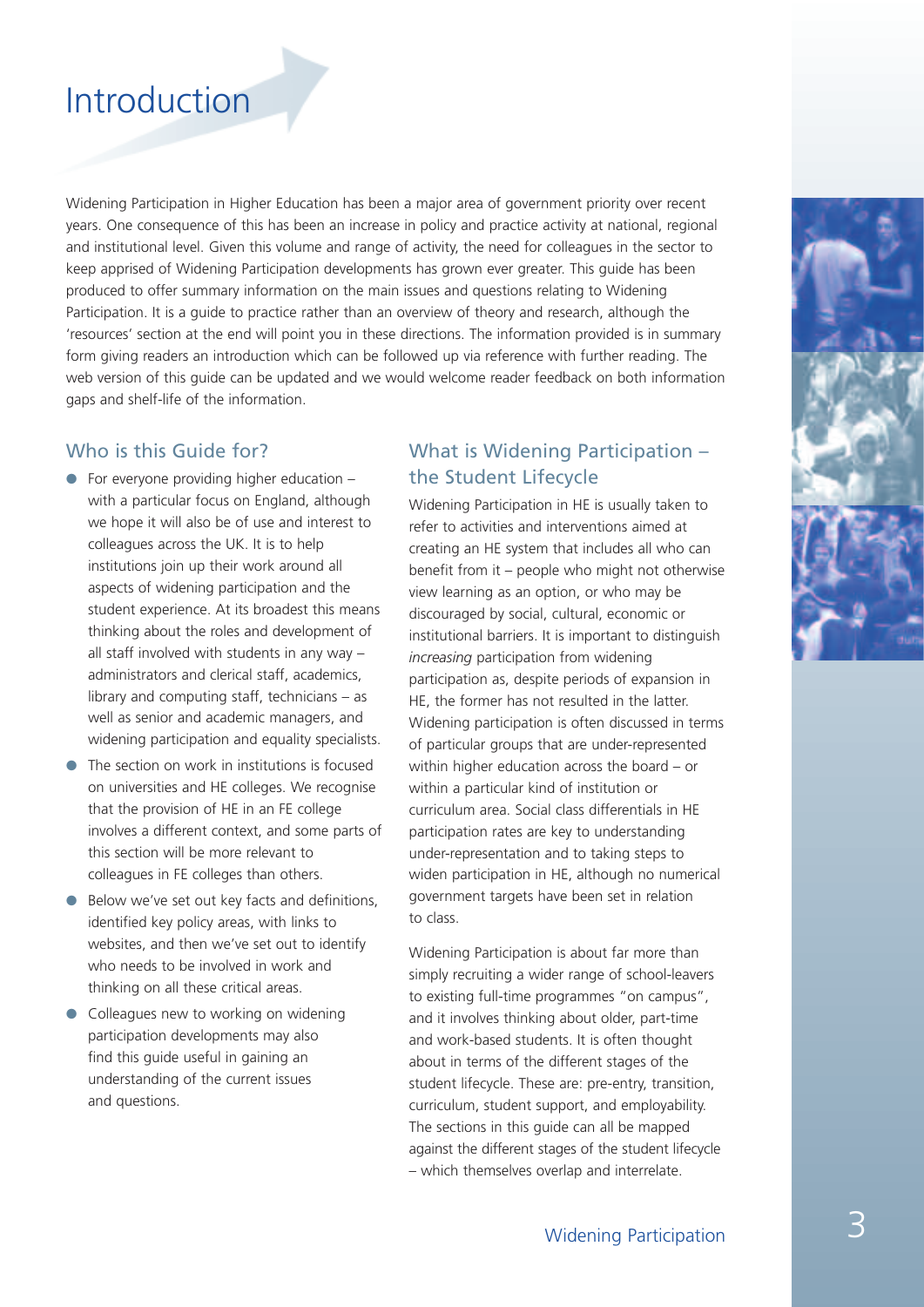## Introduction

Widening Participation in Higher Education has been a major area of government priority over recent years. One consequence of this has been an increase in policy and practice activity at national, regional and institutional level. Given this volume and range of activity, the need for colleagues in the sector to keep apprised of Widening Participation developments has grown ever greater. This guide has been produced to offer summary information on the main issues and questions relating to Widening Participation. It is a guide to practice rather than an overview of theory and research, although the 'resources' section at the end will point you in these directions. The information provided is in summary form giving readers an introduction which can be followed up via reference with further reading. The web version of this guide can be updated and we would welcome reader feedback on both information gaps and shelf-life of the information.

#### Who is this Guide for?

- $\bullet$  For everyone providing higher education with a particular focus on England, although we hope it will also be of use and interest to colleagues across the UK. It is to help institutions join up their work around all aspects of widening participation and the student experience. At its broadest this means thinking about the roles and development of all staff involved with students in any way – administrators and clerical staff, academics, library and computing staff, technicians – as well as senior and academic managers, and widening participation and equality specialists.
- The section on work in institutions is focused on universities and HE colleges. We recognise that the provision of HE in an FE college involves a different context, and some parts of this section will be more relevant to colleagues in FE colleges than others.
- Below we've set out key facts and definitions. identified key policy areas, with links to websites, and then we've set out to identify who needs to be involved in work and thinking on all these critical areas.
- Colleagues new to working on widening participation developments may also find this guide useful in gaining an understanding of the current issues and questions.

#### What is Widening Participation – the Student Lifecycle

Widening Participation in HE is usually taken to refer to activities and interventions aimed at creating an HE system that includes all who can benefit from it – people who might not otherwise view learning as an option, or who may be discouraged by social, cultural, economic or institutional barriers. It is important to distinguish *increasing* participation from widening participation as, despite periods of expansion in HE, the former has not resulted in the latter. Widening participation is often discussed in terms of particular groups that are under-represented within higher education across the board – or within a particular kind of institution or curriculum area. Social class differentials in HE participation rates are key to understanding under-representation and to taking steps to widen participation in HE, although no numerical government targets have been set in relation to class.

Widening Participation is about far more than simply recruiting a wider range of school-leavers to existing full-time programmes "on campus", and it involves thinking about older, part-time and work-based students. It is often thought about in terms of the different stages of the student lifecycle. These are: pre-entry, transition, curriculum, student support, and employability. The sections in this guide can all be mapped against the different stages of the student lifecycle – which themselves overlap and interrelate.

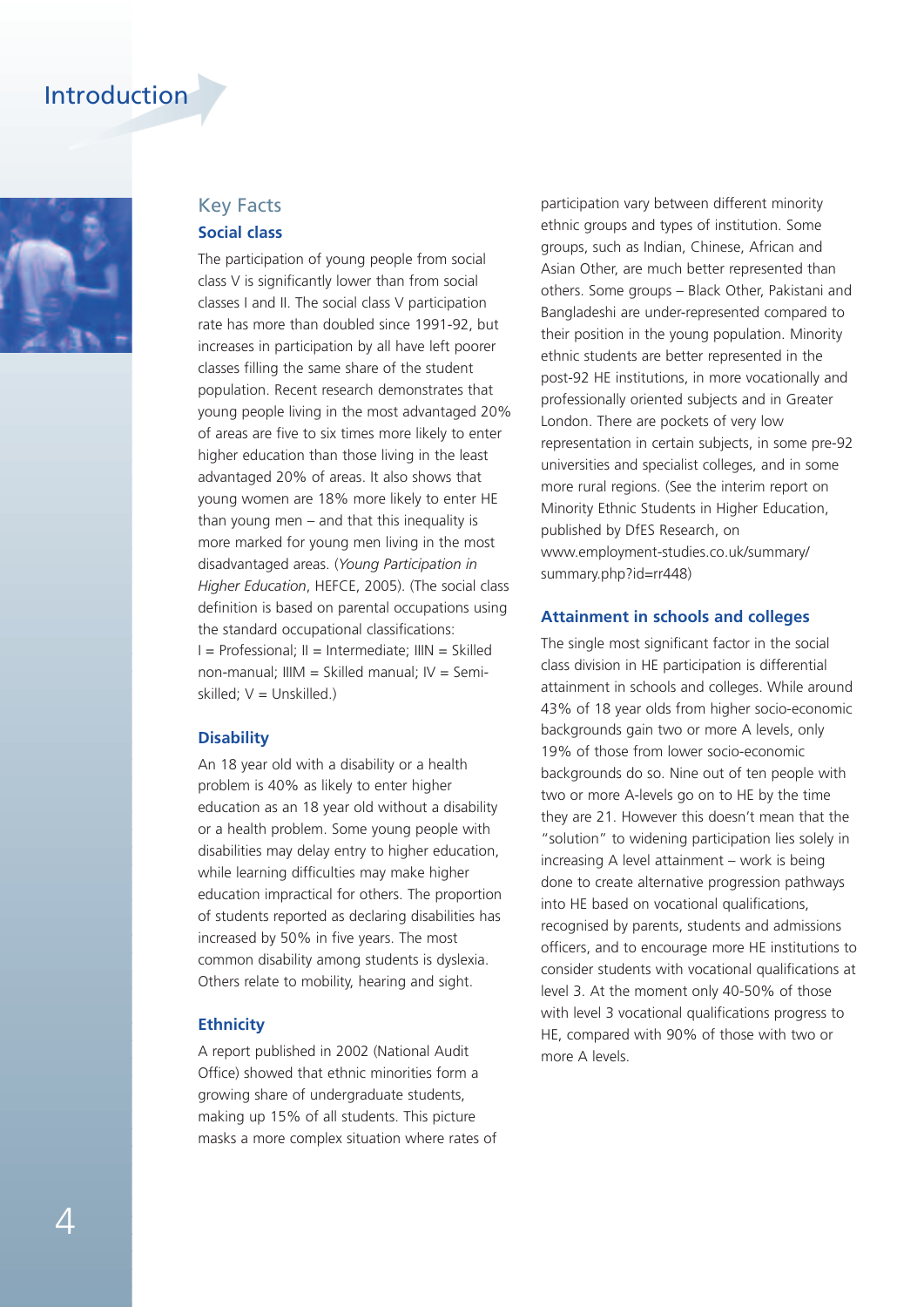### Introduction



#### Key Facts **Social class**

The participation of young people from social class V is significantly lower than from social classes I and II. The social class V participation rate has more than doubled since 1991-92, but increases in participation by all have left poorer classes filling the same share of the student population. Recent research demonstrates that young people living in the most advantaged 20% of areas are five to six times more likely to enter higher education than those living in the least advantaged 20% of areas. It also shows that young women are 18% more likely to enter HE than young men – and that this inequality is more marked for young men living in the most disadvantaged areas. (*Young Participation in Higher Education*, HEFCE, 2005). (The social class definition is based on parental occupations using the standard occupational classifications:  $I =$  Professional;  $II =$  Intermediate;  $IIIN =$  Skilled non-manual;  $IIIM = Skilled manual$ :  $IV = Semi$ skilled;  $V =$  Unskilled.)

#### **Disability**

An 18 year old with a disability or a health problem is 40% as likely to enter higher education as an 18 year old without a disability or a health problem. Some young people with disabilities may delay entry to higher education, while learning difficulties may make higher education impractical for others. The proportion of students reported as declaring disabilities has increased by 50% in five years. The most common disability among students is dyslexia. Others relate to mobility, hearing and sight.

#### **Ethnicity**

A report published in 2002 (National Audit Office) showed that ethnic minorities form a growing share of undergraduate students, making up 15% of all students. This picture masks a more complex situation where rates of

participation vary between different minority ethnic groups and types of institution. Some groups, such as Indian, Chinese, African and Asian Other, are much better represented than others. Some groups – Black Other, Pakistani and Bangladeshi are under-represented compared to their position in the young population. Minority ethnic students are better represented in the post-92 HE institutions, in more vocationally and professionally oriented subjects and in Greater London. There are pockets of very low representation in certain subjects, in some pre-92 universities and specialist colleges, and in some more rural regions. (See the interim report on Minority Ethnic Students in Higher Education, published by DfES Research, on www.employment-studies.co.uk/summary/ summary.php?id=rr448)

#### **Attainment in schools and colleges**

The single most significant factor in the social class division in HE participation is differential attainment in schools and colleges. While around 43% of 18 year olds from higher socio-economic backgrounds gain two or more A levels, only 19% of those from lower socio-economic backgrounds do so. Nine out of ten people with two or more A-levels go on to HE by the time they are 21. However this doesn't mean that the "solution" to widening participation lies solely in increasing A level attainment – work is being done to create alternative progression pathways into HE based on vocational qualifications, recognised by parents, students and admissions officers, and to encourage more HE institutions to consider students with vocational qualifications at level 3. At the moment only 40-50% of those with level 3 vocational qualifications progress to HE, compared with 90% of those with two or more A levels.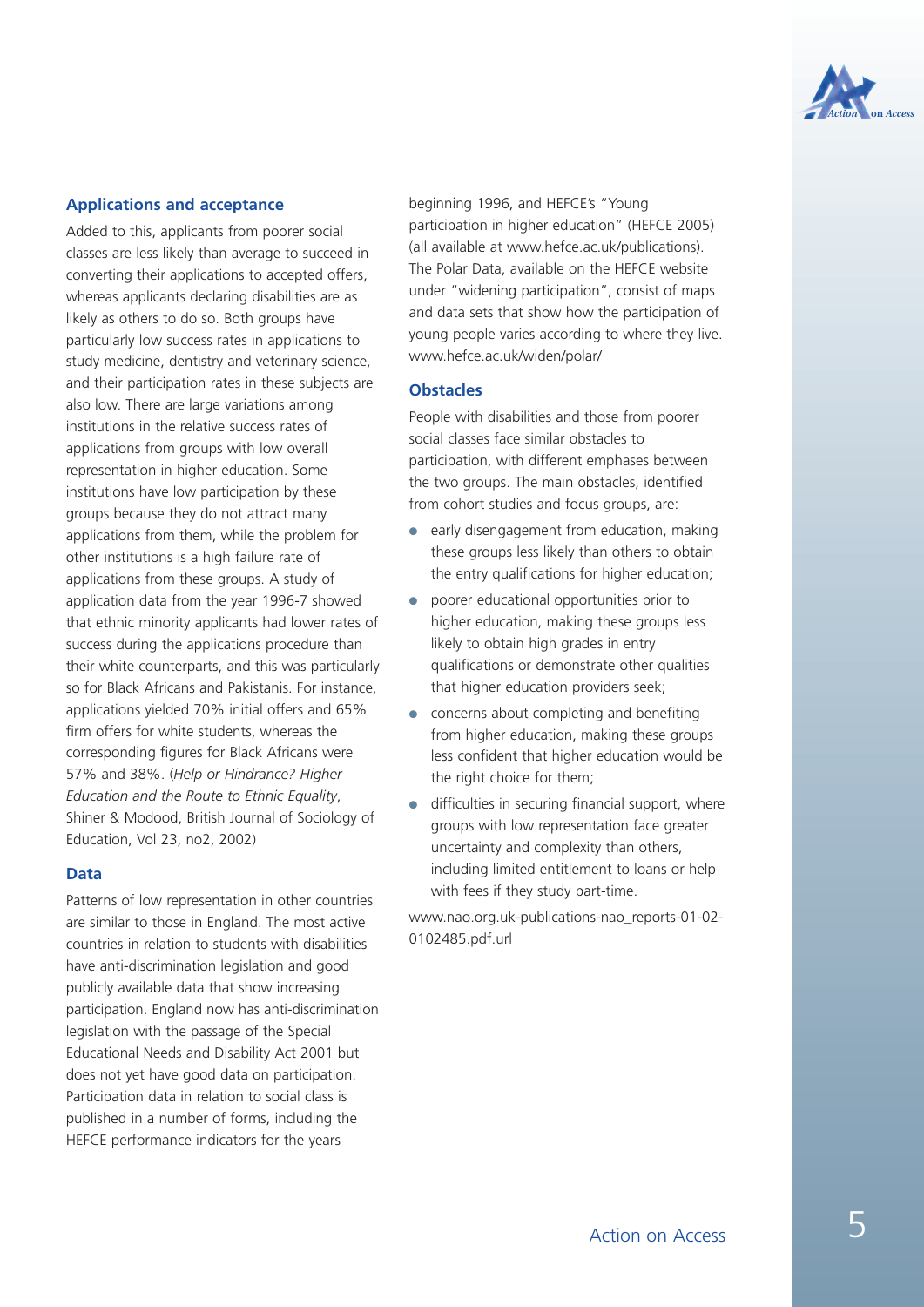

#### **Applications and acceptance**

Added to this, applicants from poorer social classes are less likely than average to succeed in converting their applications to accepted offers, whereas applicants declaring disabilities are as likely as others to do so. Both groups have particularly low success rates in applications to study medicine, dentistry and veterinary science, and their participation rates in these subjects are also low. There are large variations among institutions in the relative success rates of applications from groups with low overall representation in higher education. Some institutions have low participation by these groups because they do not attract many applications from them, while the problem for other institutions is a high failure rate of applications from these groups. A study of application data from the year 1996-7 showed that ethnic minority applicants had lower rates of success during the applications procedure than their white counterparts, and this was particularly so for Black Africans and Pakistanis. For instance, applications yielded 70% initial offers and 65% firm offers for white students, whereas the corresponding figures for Black Africans were 57% and 38%. (*Help or Hindrance? Higher Education and the Route to Ethnic Equality*, Shiner & Modood, British Journal of Sociology of Education, Vol 23, no2, 2002)

#### **Data**

Patterns of low representation in other countries are similar to those in England. The most active countries in relation to students with disabilities have anti-discrimination legislation and good publicly available data that show increasing participation. England now has anti-discrimination legislation with the passage of the Special Educational Needs and Disability Act 2001 but does not yet have good data on participation. Participation data in relation to social class is published in a number of forms, including the HEFCE performance indicators for the years

beginning 1996, and HEFCE's "Young participation in higher education" (HEFCE 2005) (all available at www.hefce.ac.uk/publications). The Polar Data, available on the HEFCE website under "widening participation", consist of maps and data sets that show how the participation of young people varies according to where they live. www.hefce.ac.uk/widen/polar/

#### **Obstacles**

People with disabilities and those from poorer social classes face similar obstacles to participation, with different emphases between the two groups. The main obstacles, identified from cohort studies and focus groups, are:

- early disengagement from education, making these groups less likely than others to obtain the entry qualifications for higher education;
- poorer educational opportunities prior to higher education, making these groups less likely to obtain high grades in entry qualifications or demonstrate other qualities that higher education providers seek;
- concerns about completing and benefiting from higher education, making these groups less confident that higher education would be the right choice for them;
- difficulties in securing financial support, where groups with low representation face greater uncertainty and complexity than others, including limited entitlement to loans or help with fees if they study part-time.

www.nao.org.uk-publications-nao\_reports-01-02- 0102485.pdf.url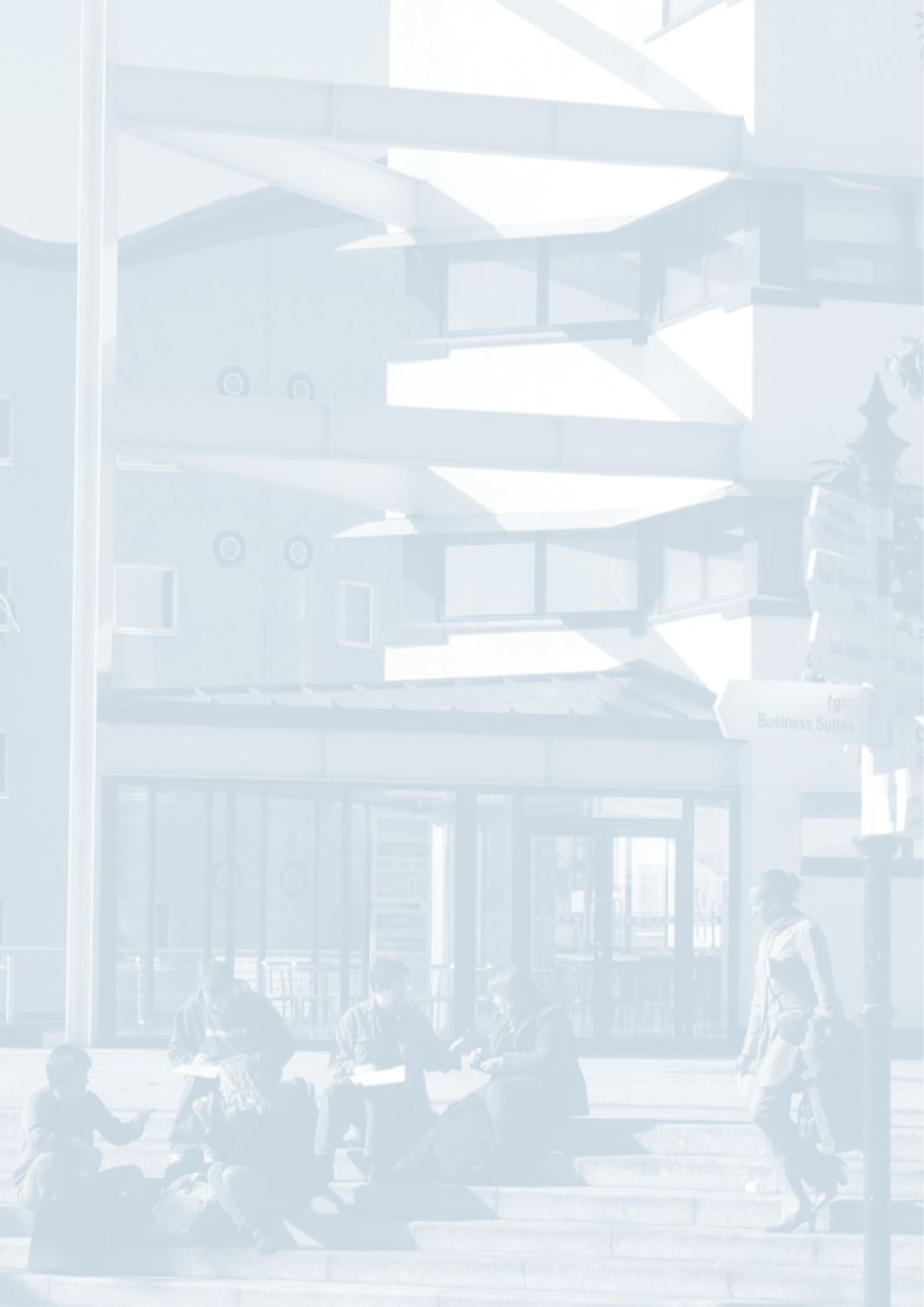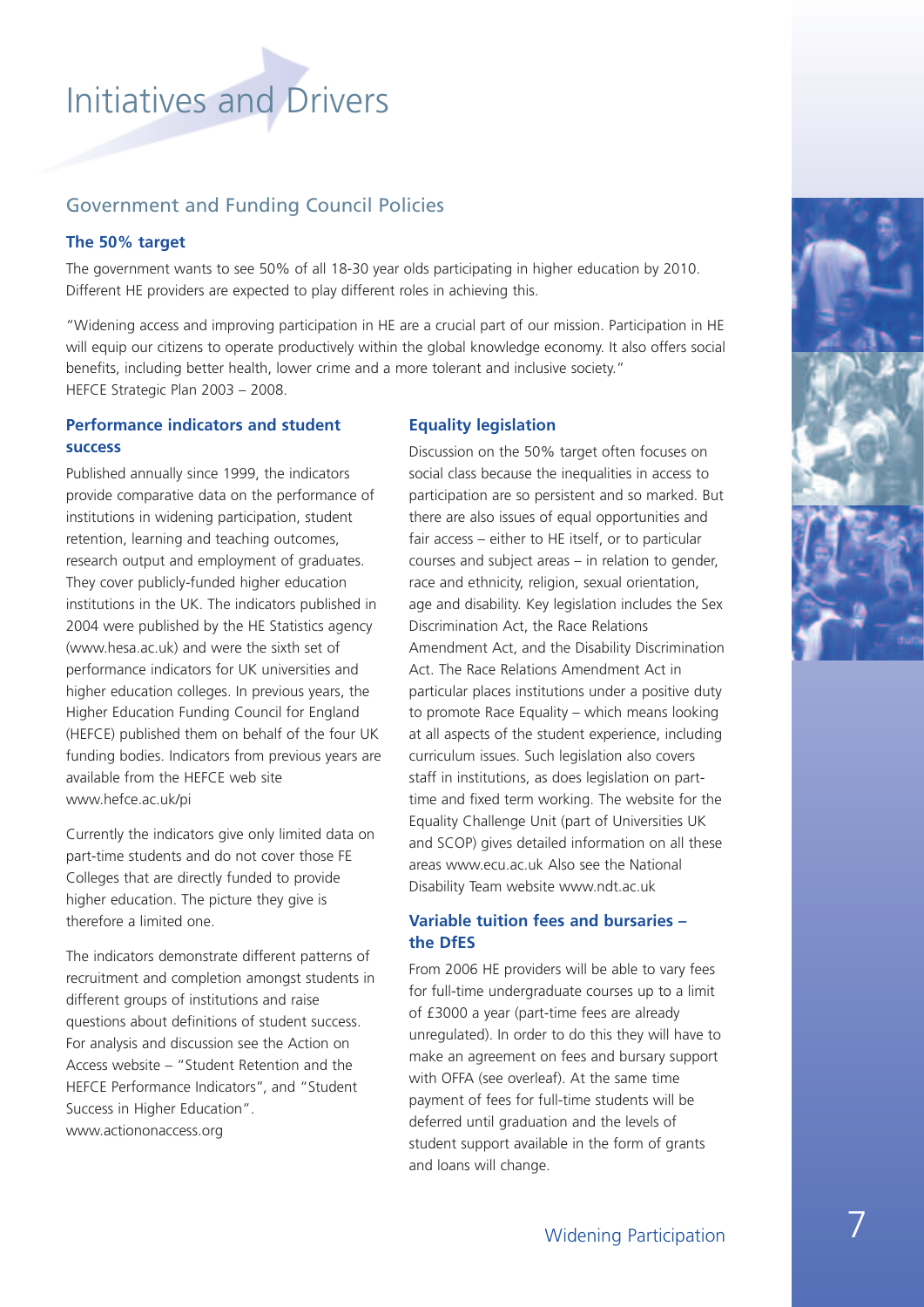#### Government and Funding Council Policies

#### **The 50% target**

The government wants to see 50% of all 18-30 year olds participating in higher education by 2010. Different HE providers are expected to play different roles in achieving this.

"Widening access and improving participation in HE are a crucial part of our mission. Participation in HE will equip our citizens to operate productively within the global knowledge economy. It also offers social benefits, including better health, lower crime and a more tolerant and inclusive society." HEFCE Strategic Plan 2003 – 2008.

#### **Performance indicators and student success**

Published annually since 1999, the indicators provide comparative data on the performance of institutions in widening participation, student retention, learning and teaching outcomes, research output and employment of graduates. They cover publicly-funded higher education institutions in the UK. The indicators published in 2004 were published by the HE Statistics agency (www.hesa.ac.uk) and were the sixth set of performance indicators for UK universities and higher education colleges. In previous years, the Higher Education Funding Council for England (HEFCE) published them on behalf of the four UK funding bodies. Indicators from previous years are available from the HEFCE web site www.hefce.ac.uk/pi

Currently the indicators give only limited data on part-time students and do not cover those FE Colleges that are directly funded to provide higher education. The picture they give is therefore a limited one.

The indicators demonstrate different patterns of recruitment and completion amongst students in different groups of institutions and raise questions about definitions of student success. For analysis and discussion see the Action on Access website – "Student Retention and the HEFCE Performance Indicators", and "Student Success in Higher Education". www.actiononaccess.org

#### **Equality legislation**

Discussion on the 50% target often focuses on social class because the inequalities in access to participation are so persistent and so marked. But there are also issues of equal opportunities and fair access – either to HE itself, or to particular courses and subject areas – in relation to gender, race and ethnicity, religion, sexual orientation, age and disability. Key legislation includes the Sex Discrimination Act, the Race Relations Amendment Act, and the Disability Discrimination Act. The Race Relations Amendment Act in particular places institutions under a positive duty to promote Race Equality – which means looking at all aspects of the student experience, including curriculum issues. Such legislation also covers staff in institutions, as does legislation on parttime and fixed term working. The website for the Equality Challenge Unit (part of Universities UK and SCOP) gives detailed information on all these areas www.ecu.ac.uk Also see the National Disability Team website www.ndt.ac.uk

#### **Variable tuition fees and bursaries – the DfES**

From 2006 HE providers will be able to vary fees for full-time undergraduate courses up to a limit of £3000 a year (part-time fees are already unregulated). In order to do this they will have to make an agreement on fees and bursary support with OFFA (see overleaf). At the same time payment of fees for full-time students will be deferred until graduation and the levels of student support available in the form of grants and loans will change.

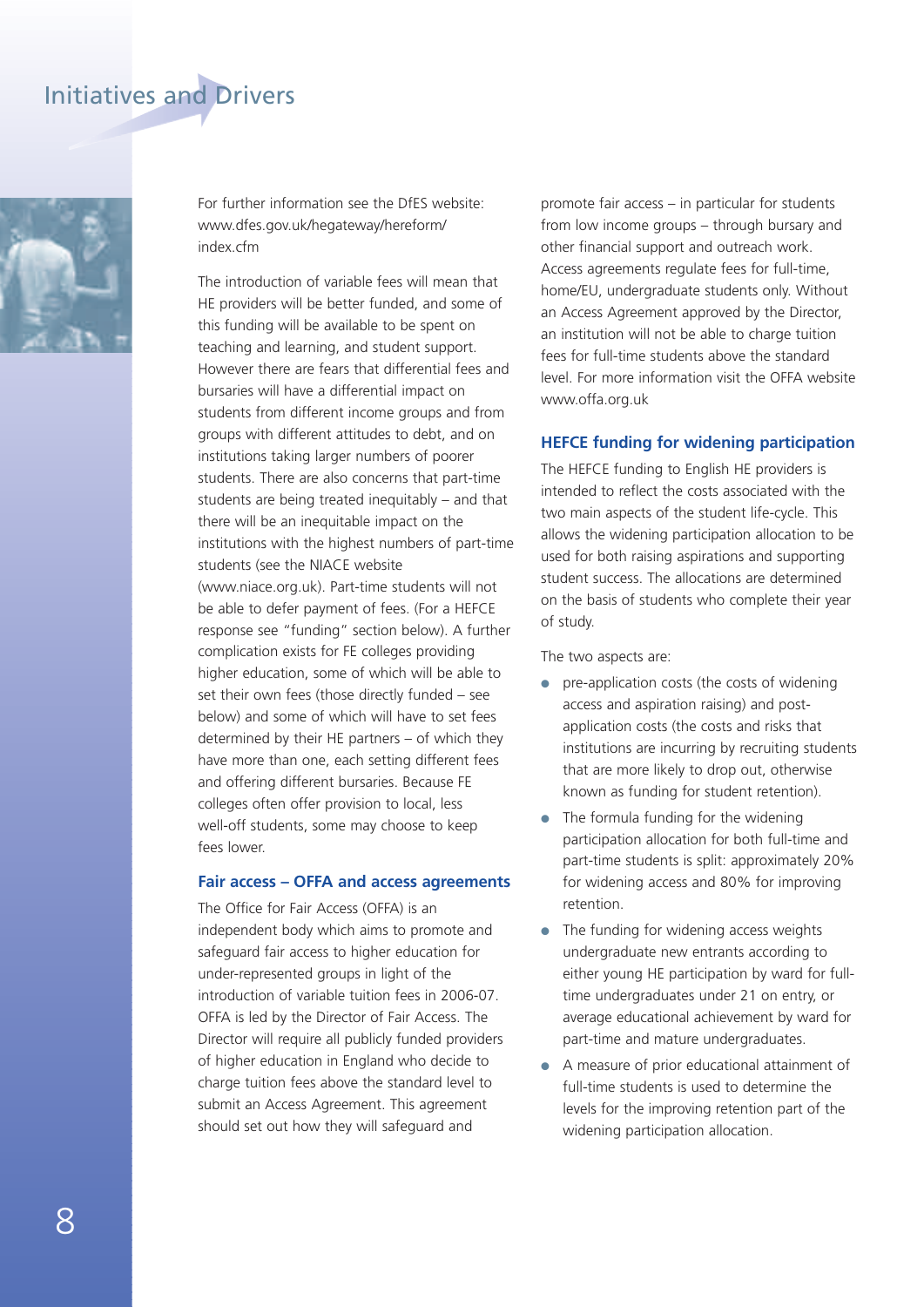

For further information see the DfES website: www.dfes.gov.uk/hegateway/hereform/ index.cfm

The introduction of variable fees will mean that HE providers will be better funded, and some of this funding will be available to be spent on teaching and learning, and student support. However there are fears that differential fees and bursaries will have a differential impact on students from different income groups and from groups with different attitudes to debt, and on institutions taking larger numbers of poorer students. There are also concerns that part-time students are being treated inequitably – and that there will be an inequitable impact on the institutions with the highest numbers of part-time students (see the NIACE website (www.niace.org.uk). Part-time students will not be able to defer payment of fees. (For a HEFCE response see "funding" section below). A further complication exists for FE colleges providing higher education, some of which will be able to set their own fees (those directly funded – see below) and some of which will have to set fees determined by their HE partners – of which they have more than one, each setting different fees and offering different bursaries. Because FE colleges often offer provision to local, less well-off students, some may choose to keep fees lower.

#### **Fair access – OFFA and access agreements**

The Office for Fair Access (OFFA) is an independent body which aims to promote and safeguard fair access to higher education for under-represented groups in light of the introduction of variable tuition fees in 2006-07. OFFA is led by the Director of Fair Access. The Director will require all publicly funded providers of higher education in England who decide to charge tuition fees above the standard level to submit an Access Agreement. This agreement should set out how they will safeguard and

promote fair access – in particular for students from low income groups – through bursary and other financial support and outreach work. Access agreements regulate fees for full-time, home/EU, undergraduate students only. Without an Access Agreement approved by the Director, an institution will not be able to charge tuition fees for full-time students above the standard level. For more information visit the OFFA website www.offa.org.uk

#### **HEFCE funding for widening participation**

The HEFCE funding to English HE providers is intended to reflect the costs associated with the two main aspects of the student life-cycle. This allows the widening participation allocation to be used for both raising aspirations and supporting student success. The allocations are determined on the basis of students who complete their year of study.

The two aspects are:

- pre-application costs (the costs of widening access and aspiration raising) and postapplication costs (the costs and risks that institutions are incurring by recruiting students that are more likely to drop out, otherwise known as funding for student retention).
- The formula funding for the widening participation allocation for both full-time and part-time students is split: approximately 20% for widening access and 80% for improving retention.
- The funding for widening access weights undergraduate new entrants according to either young HE participation by ward for fulltime undergraduates under 21 on entry, or average educational achievement by ward for part-time and mature undergraduates.
- A measure of prior educational attainment of full-time students is used to determine the levels for the improving retention part of the widening participation allocation.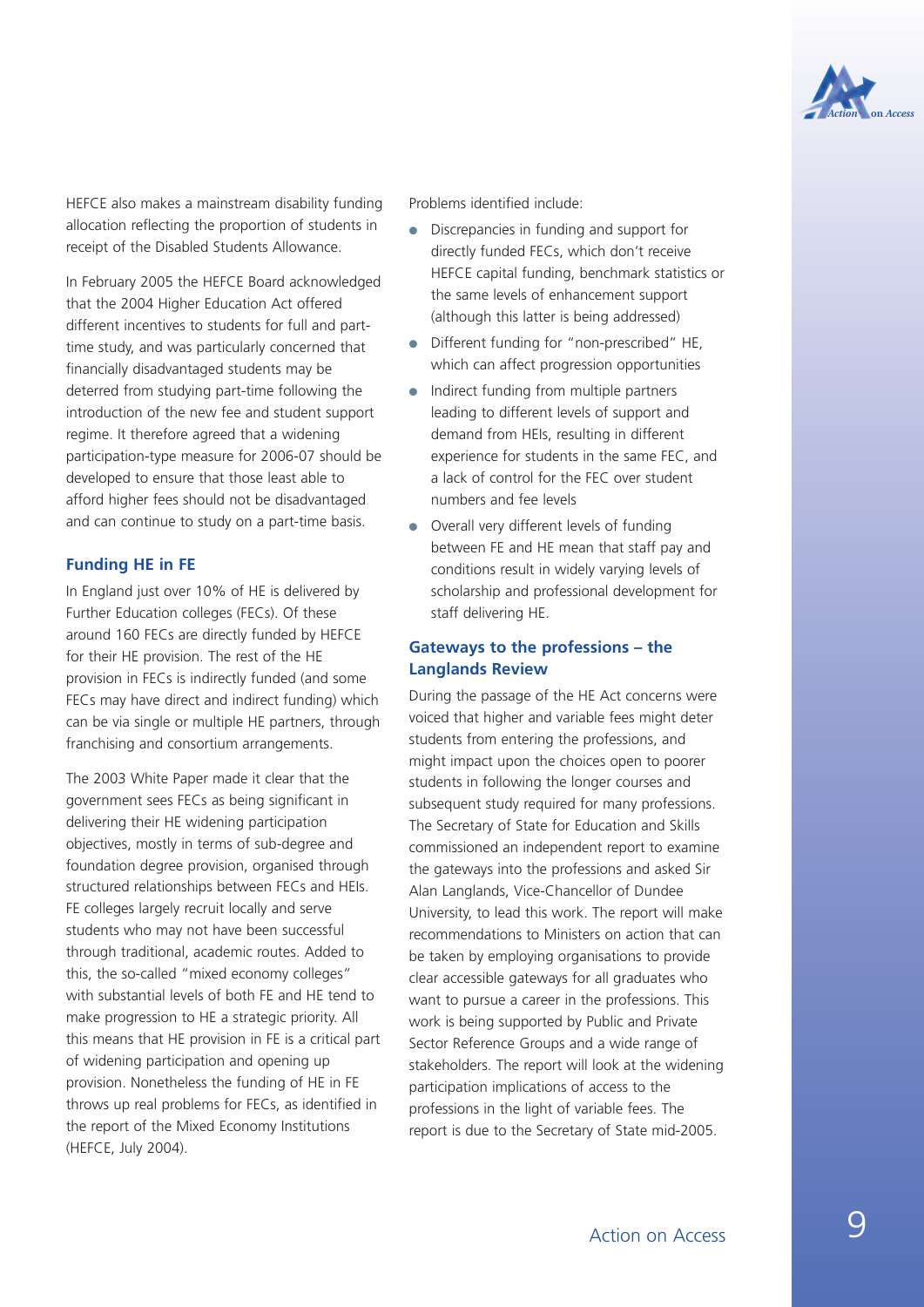

HEFCE also makes a mainstream disability funding allocation reflecting the proportion of students in receipt of the Disabled Students Allowance.

In February 2005 the HEFCE Board acknowledged that the 2004 Higher Education Act offered different incentives to students for full and parttime study, and was particularly concerned that financially disadvantaged students may be deterred from studying part-time following the introduction of the new fee and student support regime. It therefore agreed that a widening participation-type measure for 2006-07 should be developed to ensure that those least able to afford higher fees should not be disadvantaged and can continue to study on a part-time basis.

#### **Funding HE in FE**

In England just over 10% of HE is delivered by Further Education colleges (FECs). Of these around 160 FECs are directly funded by HEFCE for their HE provision. The rest of the HE provision in FECs is indirectly funded (and some FECs may have direct and indirect funding) which can be via single or multiple HE partners, through franchising and consortium arrangements.

The 2003 White Paper made it clear that the government sees FECs as being significant in delivering their HE widening participation objectives, mostly in terms of sub-degree and foundation degree provision, organised through structured relationships between FECs and HEIs. FE colleges largely recruit locally and serve students who may not have been successful through traditional, academic routes. Added to this, the so-called "mixed economy colleges" with substantial levels of both FE and HE tend to make progression to HE a strategic priority. All this means that HE provision in FE is a critical part of widening participation and opening up provision. Nonetheless the funding of HE in FE throws up real problems for FECs, as identified in the report of the Mixed Economy Institutions (HEFCE, July 2004).

Problems identified include:

- Discrepancies in funding and support for directly funded FECs, which don't receive HEFCE capital funding, benchmark statistics or the same levels of enhancement support (although this latter is being addressed)
- Different funding for "non-prescribed" HE. which can affect progression opportunities
- Indirect funding from multiple partners leading to different levels of support and demand from HEIs, resulting in different experience for students in the same FEC, and a lack of control for the FEC over student numbers and fee levels
- Overall very different levels of funding between FE and HE mean that staff pay and conditions result in widely varying levels of scholarship and professional development for staff delivering HE.

#### **Gateways to the professions – the Langlands Review**

During the passage of the HE Act concerns were voiced that higher and variable fees might deter students from entering the professions, and might impact upon the choices open to poorer students in following the longer courses and subsequent study required for many professions. The Secretary of State for Education and Skills commissioned an independent report to examine the gateways into the professions and asked Sir Alan Langlands, Vice-Chancellor of Dundee University, to lead this work. The report will make recommendations to Ministers on action that can be taken by employing organisations to provide clear accessible gateways for all graduates who want to pursue a career in the professions. This work is being supported by Public and Private Sector Reference Groups and a wide range of stakeholders. The report will look at the widening participation implications of access to the professions in the light of variable fees. The report is due to the Secretary of State mid-2005.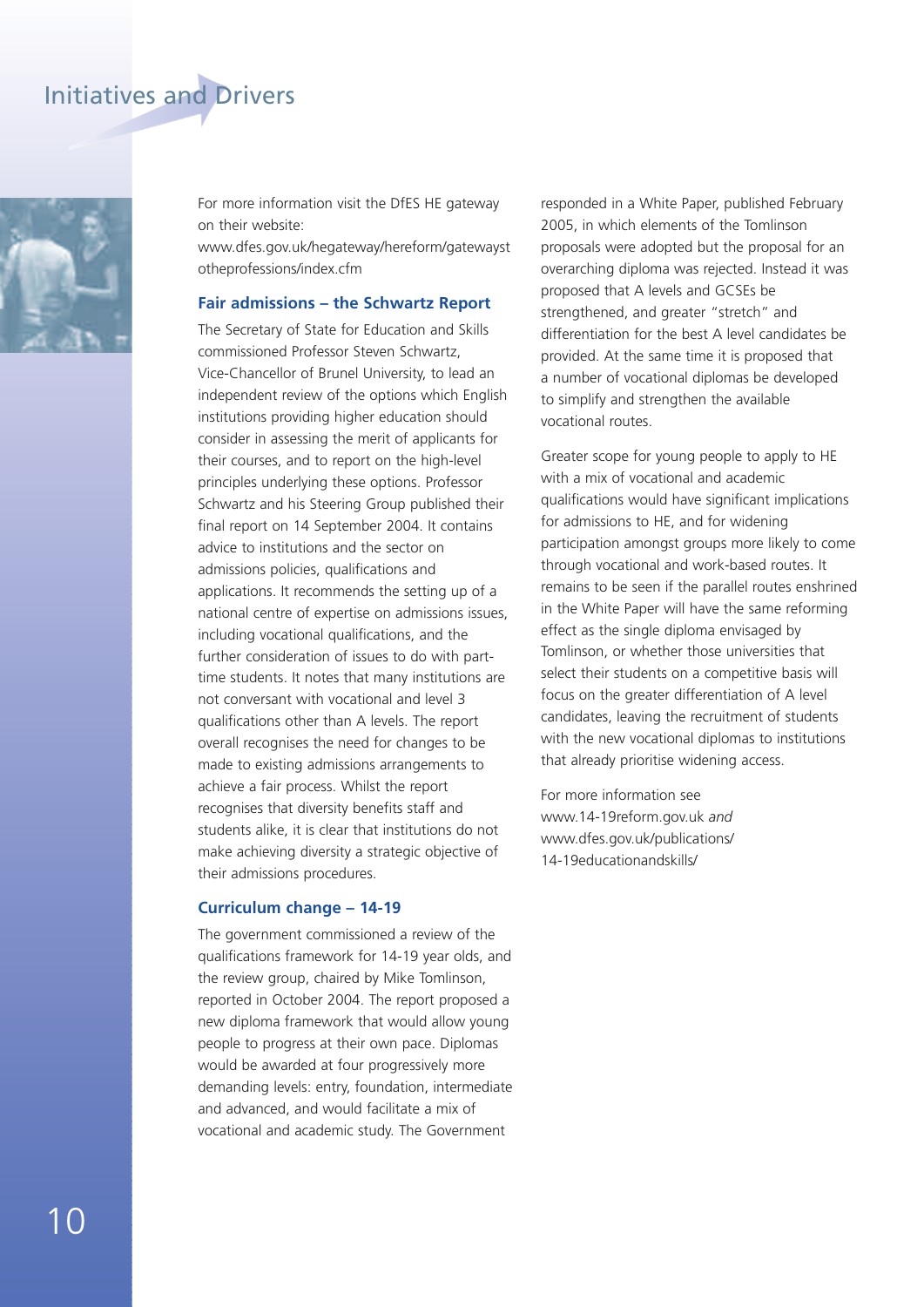

For more information visit the DfES HE gateway on their website:

www.dfes.gov.uk/hegateway/hereform/gatewayst otheprofessions/index.cfm

#### **Fair admissions – the Schwartz Report**

The Secretary of State for Education and Skills commissioned Professor Steven Schwartz, Vice-Chancellor of Brunel University, to lead an independent review of the options which English institutions providing higher education should consider in assessing the merit of applicants for their courses, and to report on the high-level principles underlying these options. Professor Schwartz and his Steering Group published their final report on 14 September 2004. It contains advice to institutions and the sector on admissions policies, qualifications and applications. It recommends the setting up of a national centre of expertise on admissions issues, including vocational qualifications, and the further consideration of issues to do with parttime students. It notes that many institutions are not conversant with vocational and level 3 qualifications other than A levels. The report overall recognises the need for changes to be made to existing admissions arrangements to achieve a fair process. Whilst the report recognises that diversity benefits staff and students alike, it is clear that institutions do not make achieving diversity a strategic objective of their admissions procedures.

#### **Curriculum change – 14-19**

The government commissioned a review of the qualifications framework for 14-19 year olds, and the review group, chaired by Mike Tomlinson, reported in October 2004. The report proposed a new diploma framework that would allow young people to progress at their own pace. Diplomas would be awarded at four progressively more demanding levels: entry, foundation, intermediate and advanced, and would facilitate a mix of vocational and academic study. The Government

responded in a White Paper, published February 2005, in which elements of the Tomlinson proposals were adopted but the proposal for an overarching diploma was rejected. Instead it was proposed that A levels and GCSEs be strengthened, and greater "stretch" and differentiation for the best A level candidates be provided. At the same time it is proposed that a number of vocational diplomas be developed to simplify and strengthen the available vocational routes.

Greater scope for young people to apply to HE with a mix of vocational and academic qualifications would have significant implications for admissions to HE, and for widening participation amongst groups more likely to come through vocational and work-based routes. It remains to be seen if the parallel routes enshrined in the White Paper will have the same reforming effect as the single diploma envisaged by Tomlinson, or whether those universities that select their students on a competitive basis will focus on the greater differentiation of A level candidates, leaving the recruitment of students with the new vocational diplomas to institutions that already prioritise widening access.

For more information see www.14-19reform.gov.uk *and* www.dfes.gov.uk/publications/ 14-19educationandskills/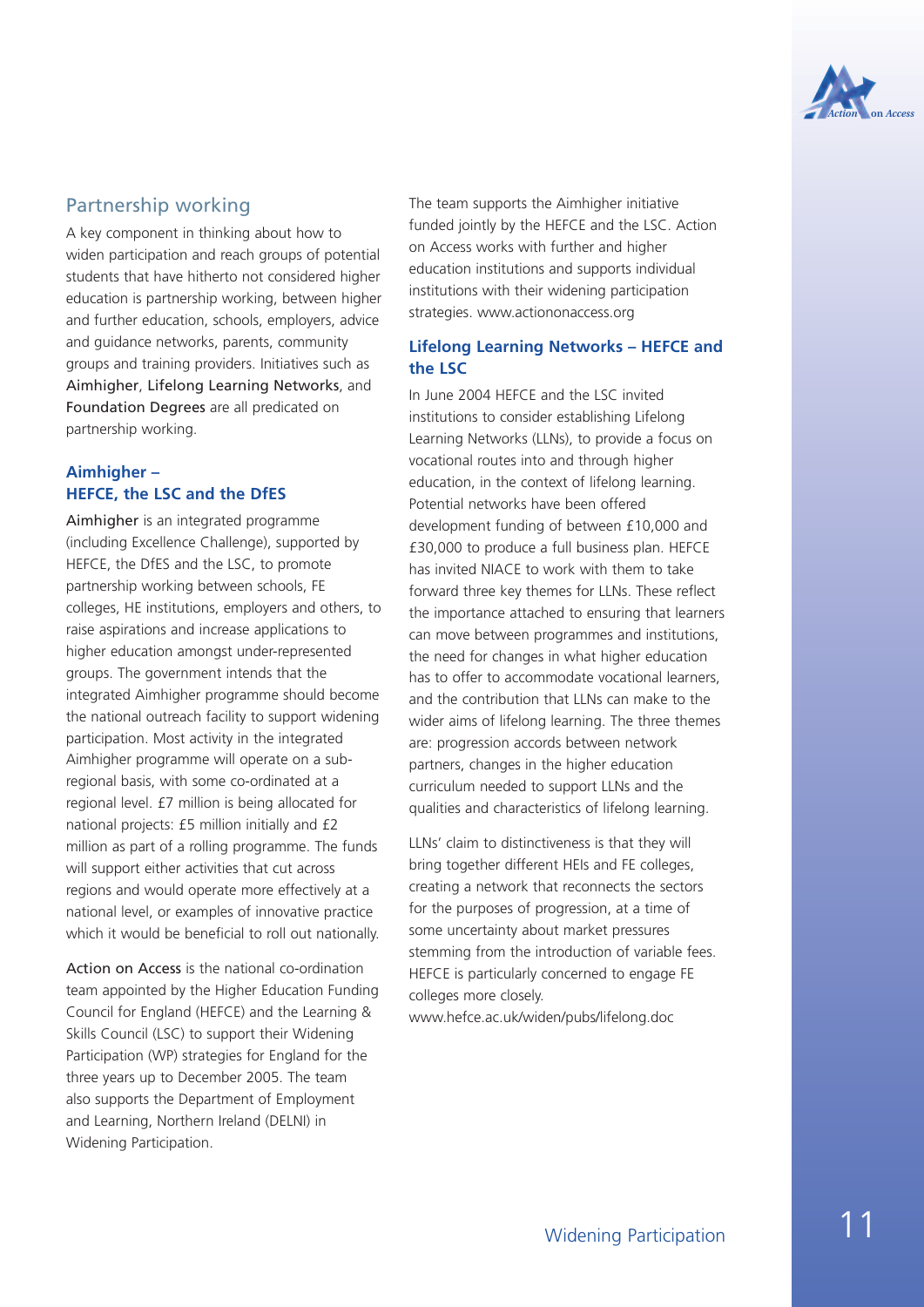

#### Partnership working

A key component in thinking about how to widen participation and reach groups of potential students that have hitherto not considered higher education is partnership working, between higher and further education, schools, employers, advice and guidance networks, parents, community groups and training providers. Initiatives such as Aimhigher, Lifelong Learning Networks, and Foundation Degrees are all predicated on partnership working.

#### **Aimhigher – HEFCE, the LSC and the DfES**

Aimhigher is an integrated programme (including Excellence Challenge), supported by HEFCE, the DfES and the LSC, to promote partnership working between schools, FE colleges, HE institutions, employers and others, to raise aspirations and increase applications to higher education amongst under-represented groups. The government intends that the integrated Aimhigher programme should become the national outreach facility to support widening participation. Most activity in the integrated Aimhigher programme will operate on a subregional basis, with some co-ordinated at a regional level. £7 million is being allocated for national projects: £5 million initially and £2 million as part of a rolling programme. The funds will support either activities that cut across regions and would operate more effectively at a national level, or examples of innovative practice which it would be beneficial to roll out nationally.

Action on Access is the national co-ordination team appointed by the Higher Education Funding Council for England (HEFCE) and the Learning & Skills Council (LSC) to support their Widening Participation (WP) strategies for England for the three years up to December 2005. The team also supports the Department of Employment and Learning, Northern Ireland (DELNI) in Widening Participation.

The team supports the Aimhigher initiative funded jointly by the HEFCE and the LSC. Action on Access works with further and higher education institutions and supports individual institutions with their widening participation strategies. www.actiononaccess.org

#### **Lifelong Learning Networks – HEFCE and the LSC**

In June 2004 HEFCE and the LSC invited institutions to consider establishing Lifelong Learning Networks (LLNs), to provide a focus on vocational routes into and through higher education, in the context of lifelong learning. Potential networks have been offered development funding of between £10,000 and £30,000 to produce a full business plan. HEFCE has invited NIACE to work with them to take forward three key themes for LLNs. These reflect the importance attached to ensuring that learners can move between programmes and institutions, the need for changes in what higher education has to offer to accommodate vocational learners, and the contribution that LLNs can make to the wider aims of lifelong learning. The three themes are: progression accords between network partners, changes in the higher education curriculum needed to support LLNs and the qualities and characteristics of lifelong learning.

LLNs' claim to distinctiveness is that they will bring together different HEIs and FE colleges, creating a network that reconnects the sectors for the purposes of progression, at a time of some uncertainty about market pressures stemming from the introduction of variable fees. HEFCE is particularly concerned to engage FE colleges more closely.

www.hefce.ac.uk/widen/pubs/lifelong.doc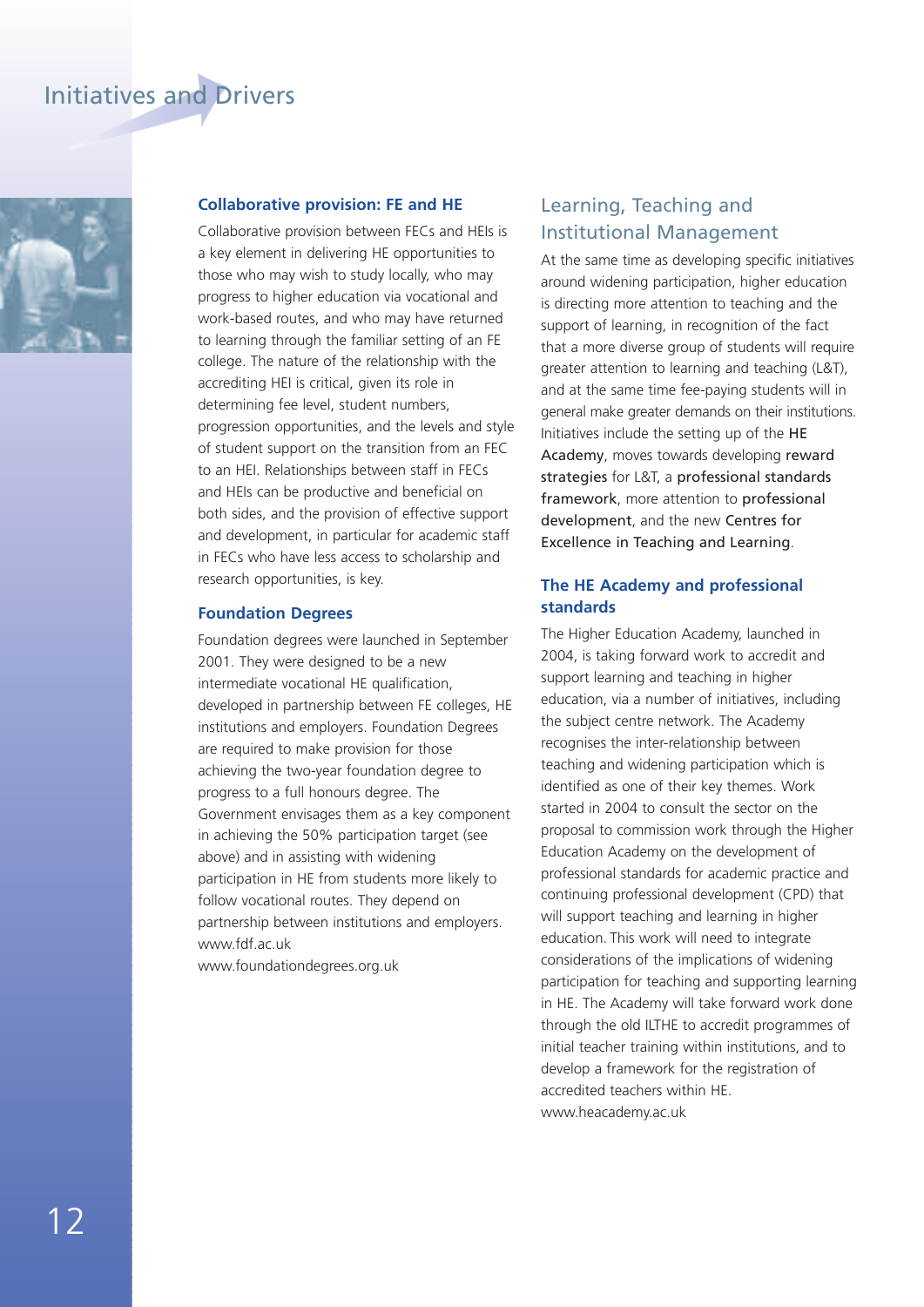

#### **Collaborative provision: FE and HE**

Collaborative provision between FECs and HEIs is a key element in delivering HE opportunities to those who may wish to study locally, who may progress to higher education via vocational and work-based routes, and who may have returned to learning through the familiar setting of an FE college. The nature of the relationship with the accrediting HEI is critical, given its role in determining fee level, student numbers, progression opportunities, and the levels and style of student support on the transition from an FEC to an HEI. Relationships between staff in FECs and HEIs can be productive and beneficial on both sides, and the provision of effective support and development, in particular for academic staff in FECs who have less access to scholarship and research opportunities, is key.

#### **Foundation Degrees**

Foundation degrees were launched in September 2001. They were designed to be a new intermediate vocational HE qualification, developed in partnership between FE colleges, HE institutions and employers. Foundation Degrees are required to make provision for those achieving the two-year foundation degree to progress to a full honours degree. The Government envisages them as a key component in achieving the 50% participation target (see above) and in assisting with widening participation in HE from students more likely to follow vocational routes. They depend on partnership between institutions and employers. www.fdf.ac.uk www.foundationdegrees.org.uk

#### Learning, Teaching and Institutional Management

At the same time as developing specific initiatives around widening participation, higher education is directing more attention to teaching and the support of learning, in recognition of the fact that a more diverse group of students will require greater attention to learning and teaching (L&T), and at the same time fee-paying students will in general make greater demands on their institutions. Initiatives include the setting up of the HE Academy, moves towards developing reward strategies for L&T, a professional standards framework, more attention to professional development, and the new Centres for Excellence in Teaching and Learning.

#### **The HE Academy and professional standards**

The Higher Education Academy, launched in 2004, is taking forward work to accredit and support learning and teaching in higher education, via a number of initiatives, including the subject centre network. The Academy recognises the inter-relationship between teaching and widening participation which is identified as one of their key themes. Work started in 2004 to consult the sector on the proposal to commission work through the Higher Education Academy on the development of professional standards for academic practice and continuing professional development (CPD) that will support teaching and learning in higher education. This work will need to integrate considerations of the implications of widening participation for teaching and supporting learning in HE. The Academy will take forward work done through the old ILTHE to accredit programmes of initial teacher training within institutions, and to develop a framework for the registration of accredited teachers within HE. www.heacademy.ac.uk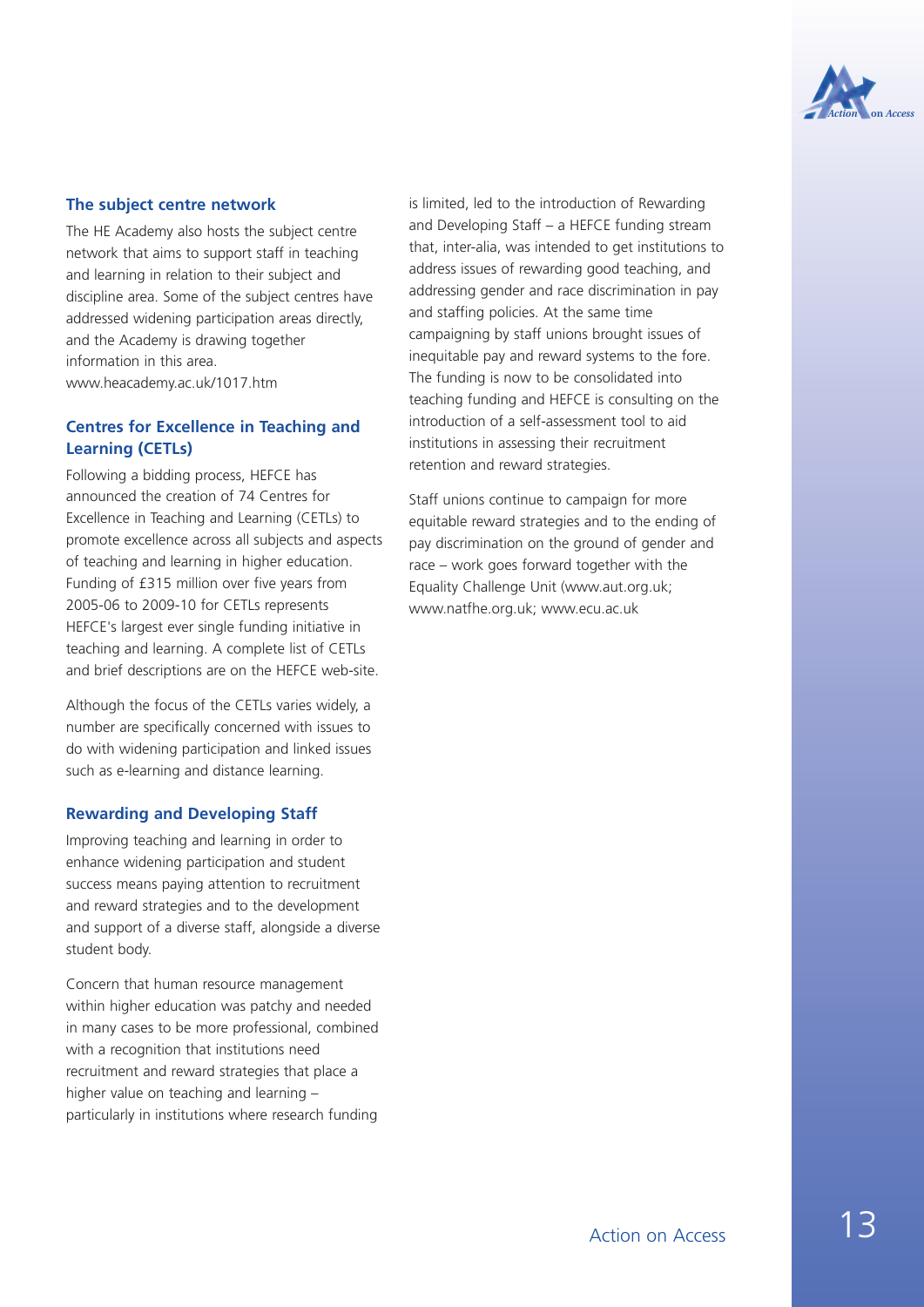

#### **The subject centre network**

The HE Academy also hosts the subject centre network that aims to support staff in teaching and learning in relation to their subject and discipline area. Some of the subject centres have addressed widening participation areas directly, and the Academy is drawing together information in this area. www.heacademy.ac.uk/1017.htm

#### **Centres for Excellence in Teaching and Learning (CETLs)**

Following a bidding process, HEFCE has announced the creation of 74 Centres for Excellence in Teaching and Learning (CETLs) to promote excellence across all subjects and aspects of teaching and learning in higher education. Funding of £315 million over five years from 2005-06 to 2009-10 for CETLs represents HEFCE's largest ever single funding initiative in teaching and learning. A complete list of CETLs and brief descriptions are on the HEFCE web-site.

Although the focus of the CETLs varies widely, a number are specifically concerned with issues to do with widening participation and linked issues such as e-learning and distance learning.

#### **Rewarding and Developing Staff**

Improving teaching and learning in order to enhance widening participation and student success means paying attention to recruitment and reward strategies and to the development and support of a diverse staff, alongside a diverse student body.

Concern that human resource management within higher education was patchy and needed in many cases to be more professional, combined with a recognition that institutions need recruitment and reward strategies that place a higher value on teaching and learning – particularly in institutions where research funding

is limited, led to the introduction of Rewarding and Developing Staff – a HEFCE funding stream that, inter-alia, was intended to get institutions to address issues of rewarding good teaching, and addressing gender and race discrimination in pay and staffing policies. At the same time campaigning by staff unions brought issues of inequitable pay and reward systems to the fore. The funding is now to be consolidated into teaching funding and HEFCE is consulting on the introduction of a self-assessment tool to aid institutions in assessing their recruitment retention and reward strategies.

Staff unions continue to campaign for more equitable reward strategies and to the ending of pay discrimination on the ground of gender and race – work goes forward together with the Equality Challenge Unit (www.aut.org.uk; www.natfhe.org.uk; www.ecu.ac.uk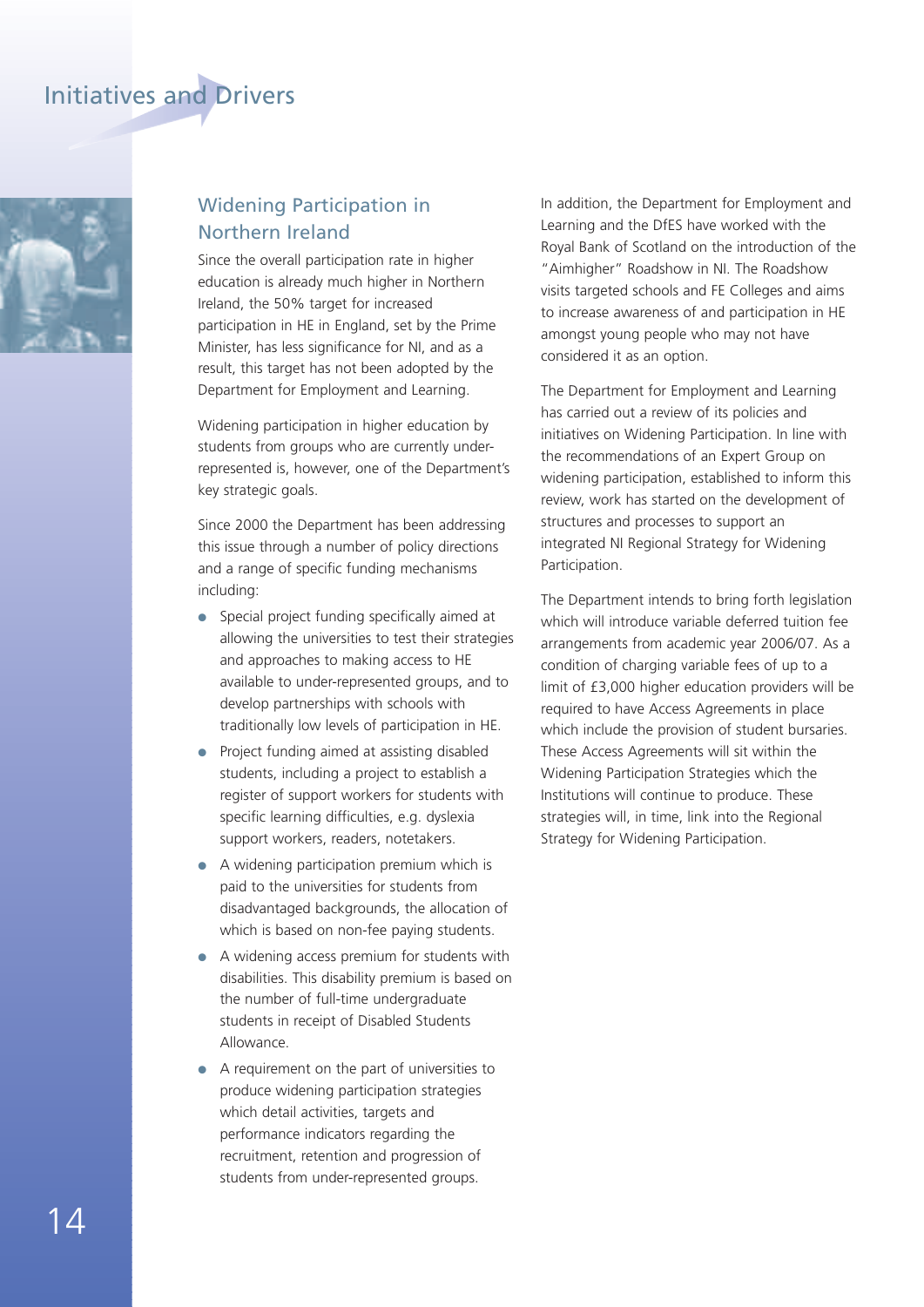

#### Widening Participation in Northern Ireland

Since the overall participation rate in higher education is already much higher in Northern Ireland, the 50% target for increased participation in HE in England, set by the Prime Minister, has less significance for NI, and as a result, this target has not been adopted by the Department for Employment and Learning.

Widening participation in higher education by students from groups who are currently underrepresented is, however, one of the Department's key strategic goals.

Since 2000 the Department has been addressing this issue through a number of policy directions and a range of specific funding mechanisms including:

- Special project funding specifically aimed at allowing the universities to test their strategies and approaches to making access to HE available to under-represented groups, and to develop partnerships with schools with traditionally low levels of participation in HE.
- Project funding aimed at assisting disabled students, including a project to establish a register of support workers for students with specific learning difficulties, e.g. dyslexia support workers, readers, notetakers.
- A widening participation premium which is paid to the universities for students from disadvantaged backgrounds, the allocation of which is based on non-fee paying students.
- A widening access premium for students with disabilities. This disability premium is based on the number of full-time undergraduate students in receipt of Disabled Students Allowance.
- A requirement on the part of universities to produce widening participation strategies which detail activities, targets and performance indicators regarding the recruitment, retention and progression of students from under-represented groups.

In addition, the Department for Employment and Learning and the DfES have worked with the Royal Bank of Scotland on the introduction of the "Aimhigher" Roadshow in NI. The Roadshow visits targeted schools and FE Colleges and aims to increase awareness of and participation in HE amongst young people who may not have considered it as an option.

The Department for Employment and Learning has carried out a review of its policies and initiatives on Widening Participation. In line with the recommendations of an Expert Group on widening participation, established to inform this review, work has started on the development of structures and processes to support an integrated NI Regional Strategy for Widening Participation.

The Department intends to bring forth legislation which will introduce variable deferred tuition fee arrangements from academic year 2006/07. As a condition of charging variable fees of up to a limit of £3,000 higher education providers will be required to have Access Agreements in place which include the provision of student bursaries. These Access Agreements will sit within the Widening Participation Strategies which the Institutions will continue to produce. These strategies will, in time, link into the Regional Strategy for Widening Participation.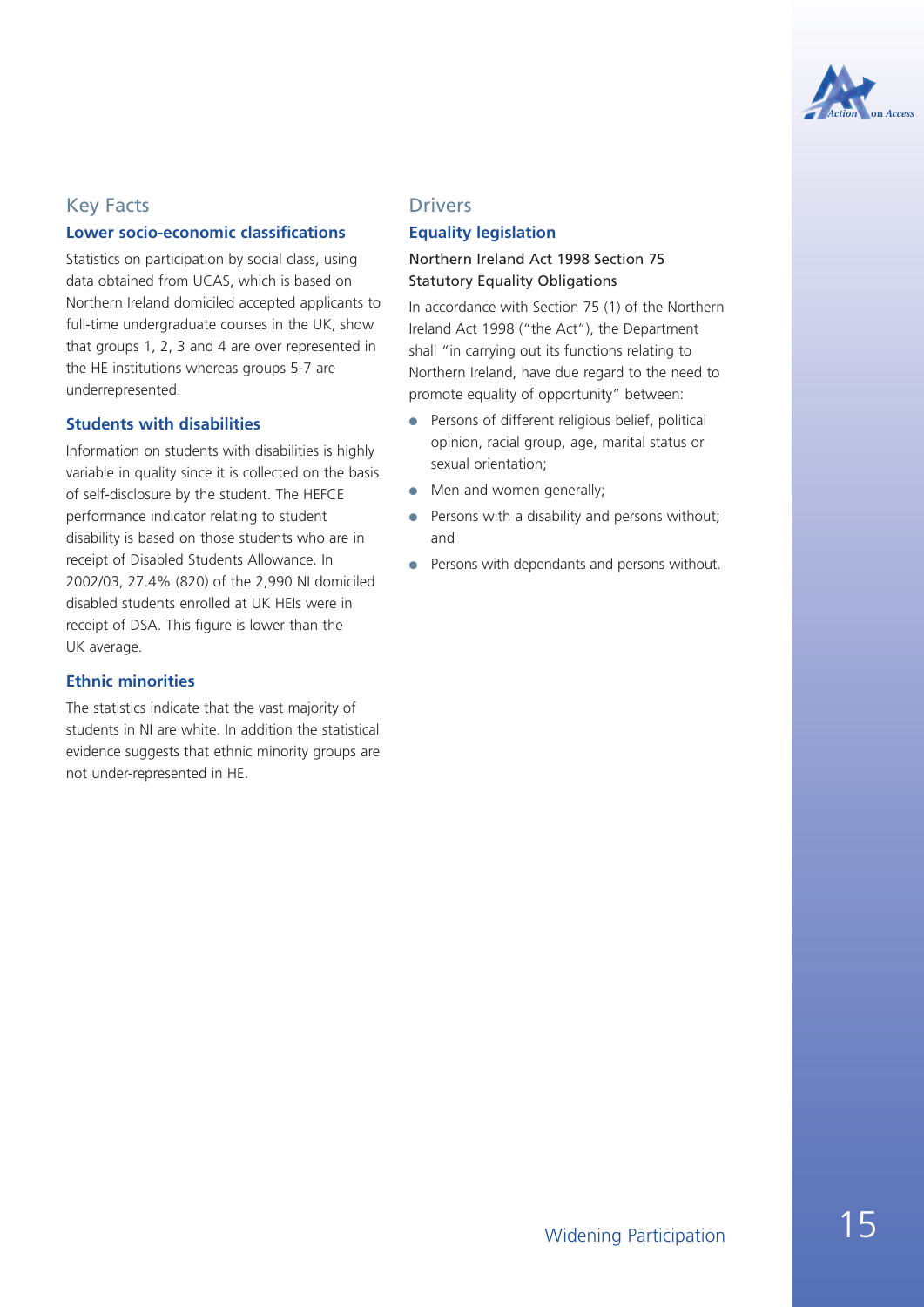

#### Key Facts **Lower socio-economic classifications**

Statistics on participation by social class, using data obtained from UCAS, which is based on Northern Ireland domiciled accepted applicants to full-time undergraduate courses in the UK, show that groups 1, 2, 3 and 4 are over represented in the HE institutions whereas groups 5-7 are underrepresented.

#### **Students with disabilities**

Information on students with disabilities is highly variable in quality since it is collected on the basis of self-disclosure by the student. The HEFCE performance indicator relating to student disability is based on those students who are in receipt of Disabled Students Allowance. In 2002/03, 27.4% (820) of the 2,990 NI domiciled disabled students enrolled at UK HEIs were in receipt of DSA. This figure is lower than the UK average.

#### **Ethnic minorities**

The statistics indicate that the vast majority of students in NI are white. In addition the statistical evidence suggests that ethnic minority groups are not under-represented in HE.

#### Drivers

#### **Equality legislation**

#### Northern Ireland Act 1998 Section 75 Statutory Equality Obligations

In accordance with Section 75 (1) of the Northern Ireland Act 1998 ("the Act"), the Department shall "in carrying out its functions relating to Northern Ireland, have due regard to the need to promote equality of opportunity" between:

- Persons of different religious belief, political opinion, racial group, age, marital status or sexual orientation;
- Men and women generally;
- Persons with a disability and persons without; and
- Persons with dependants and persons without.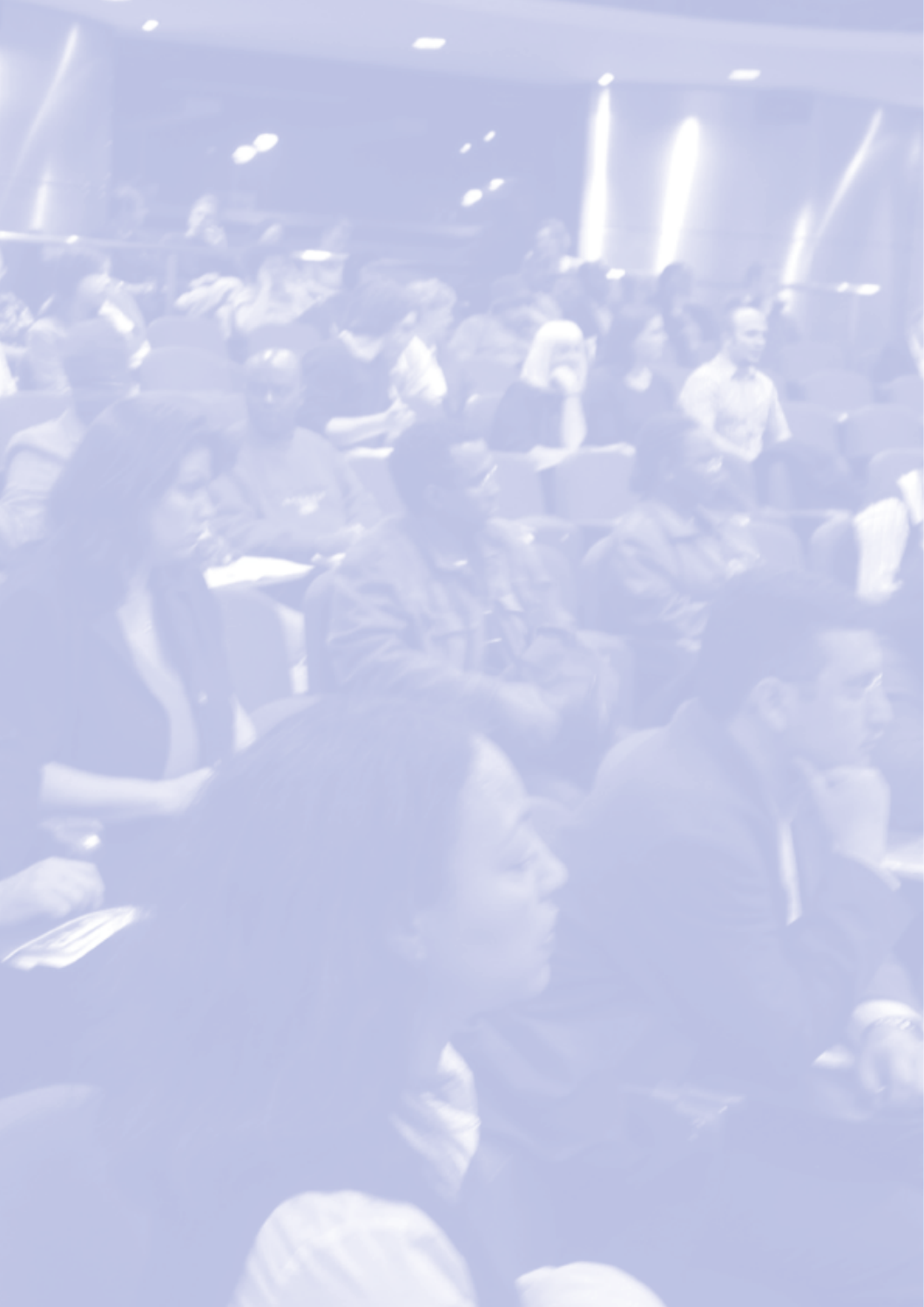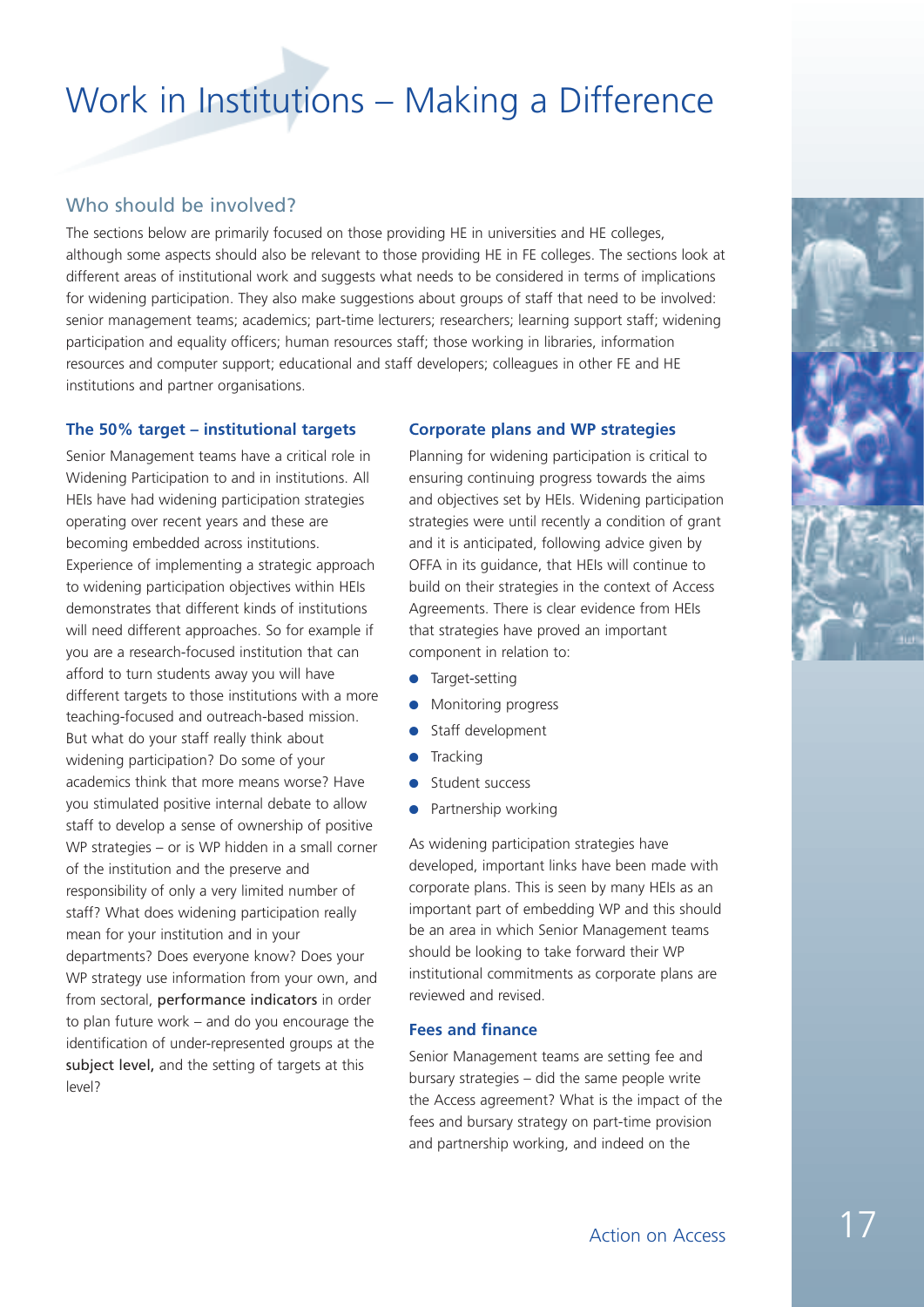## Work in Institutions – Making a Difference

#### Who should be involved?

The sections below are primarily focused on those providing HE in universities and HE colleges, although some aspects should also be relevant to those providing HE in FE colleges. The sections look at different areas of institutional work and suggests what needs to be considered in terms of implications for widening participation. They also make suggestions about groups of staff that need to be involved: senior management teams; academics; part-time lecturers; researchers; learning support staff; widening participation and equality officers; human resources staff; those working in libraries, information resources and computer support; educational and staff developers; colleagues in other FE and HE institutions and partner organisations.

#### **The 50% target – institutional targets**

Senior Management teams have a critical role in Widening Participation to and in institutions. All HEIs have had widening participation strategies operating over recent years and these are becoming embedded across institutions. Experience of implementing a strategic approach to widening participation objectives within HEIs demonstrates that different kinds of institutions will need different approaches. So for example if you are a research-focused institution that can afford to turn students away you will have different targets to those institutions with a more teaching-focused and outreach-based mission. But what do your staff really think about widening participation? Do some of your academics think that more means worse? Have you stimulated positive internal debate to allow staff to develop a sense of ownership of positive WP strategies – or is WP hidden in a small corner of the institution and the preserve and responsibility of only a very limited number of staff? What does widening participation really mean for your institution and in your departments? Does everyone know? Does your WP strategy use information from your own, and from sectoral, performance indicators in order to plan future work – and do you encourage the identification of under-represented groups at the subject level, and the setting of targets at this level?

#### **Corporate plans and WP strategies**

Planning for widening participation is critical to ensuring continuing progress towards the aims and objectives set by HEIs. Widening participation strategies were until recently a condition of grant and it is anticipated, following advice given by OFFA in its guidance, that HEIs will continue to build on their strategies in the context of Access Agreements. There is clear evidence from HEIs that strategies have proved an important component in relation to:

- Target-setting
- Monitoring progress
- Staff development
- Tracking
- Student success
- Partnership working

As widening participation strategies have developed, important links have been made with corporate plans. This is seen by many HEIs as an important part of embedding WP and this should be an area in which Senior Management teams should be looking to take forward their WP institutional commitments as corporate plans are reviewed and revised.

#### **Fees and finance**

Senior Management teams are setting fee and bursary strategies – did the same people write the Access agreement? What is the impact of the fees and bursary strategy on part-time provision and partnership working, and indeed on the

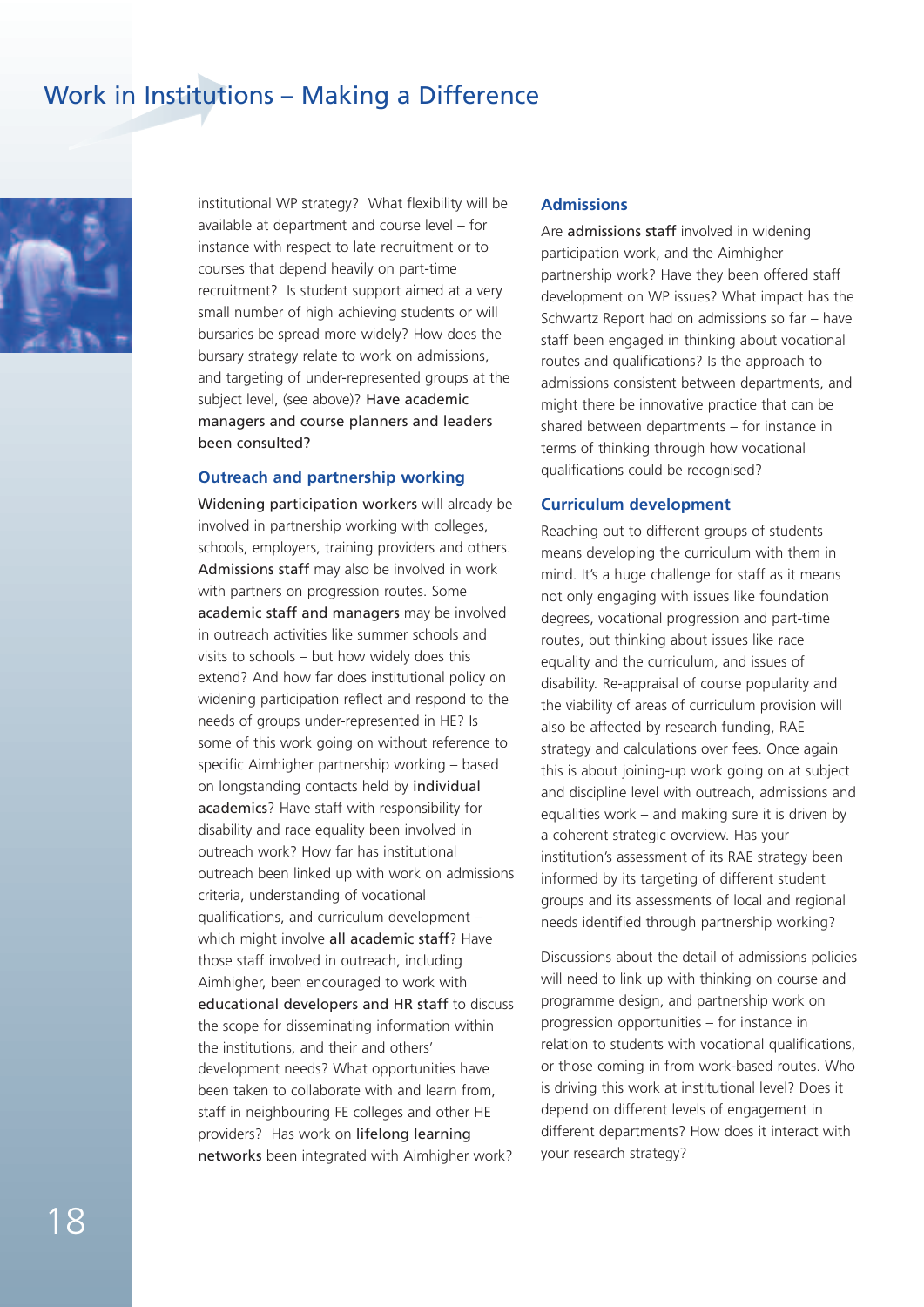### Work in Institutions – Making a Difference



institutional WP strategy? What flexibility will be available at department and course level – for instance with respect to late recruitment or to courses that depend heavily on part-time recruitment? Is student support aimed at a very small number of high achieving students or will bursaries be spread more widely? How does the bursary strategy relate to work on admissions, and targeting of under-represented groups at the subject level, (see above)? Have academic managers and course planners and leaders been consulted?

#### **Outreach and partnership working**

Widening participation workers will already be involved in partnership working with colleges, schools, employers, training providers and others. Admissions staff may also be involved in work with partners on progression routes. Some academic staff and managers may be involved in outreach activities like summer schools and visits to schools – but how widely does this extend? And how far does institutional policy on widening participation reflect and respond to the needs of groups under-represented in HE? Is some of this work going on without reference to specific Aimhigher partnership working – based on longstanding contacts held by individual academics? Have staff with responsibility for disability and race equality been involved in outreach work? How far has institutional outreach been linked up with work on admissions criteria, understanding of vocational qualifications, and curriculum development – which might involve all academic staff? Have those staff involved in outreach, including Aimhigher, been encouraged to work with educational developers and HR staff to discuss the scope for disseminating information within the institutions, and their and others' development needs? What opportunities have been taken to collaborate with and learn from, staff in neighbouring FE colleges and other HE providers? Has work on lifelong learning networks been integrated with Aimhigher work?

#### **Admissions**

Are admissions staff involved in widening participation work, and the Aimhigher partnership work? Have they been offered staff development on WP issues? What impact has the Schwartz Report had on admissions so far – have staff been engaged in thinking about vocational routes and qualifications? Is the approach to admissions consistent between departments, and might there be innovative practice that can be shared between departments – for instance in terms of thinking through how vocational qualifications could be recognised?

#### **Curriculum development**

Reaching out to different groups of students means developing the curriculum with them in mind. It's a huge challenge for staff as it means not only engaging with issues like foundation degrees, vocational progression and part-time routes, but thinking about issues like race equality and the curriculum, and issues of disability. Re-appraisal of course popularity and the viability of areas of curriculum provision will also be affected by research funding, RAE strategy and calculations over fees. Once again this is about joining-up work going on at subject and discipline level with outreach, admissions and equalities work – and making sure it is driven by a coherent strategic overview. Has your institution's assessment of its RAE strategy been informed by its targeting of different student groups and its assessments of local and regional needs identified through partnership working?

Discussions about the detail of admissions policies will need to link up with thinking on course and programme design, and partnership work on progression opportunities – for instance in relation to students with vocational qualifications, or those coming in from work-based routes. Who is driving this work at institutional level? Does it depend on different levels of engagement in different departments? How does it interact with your research strategy?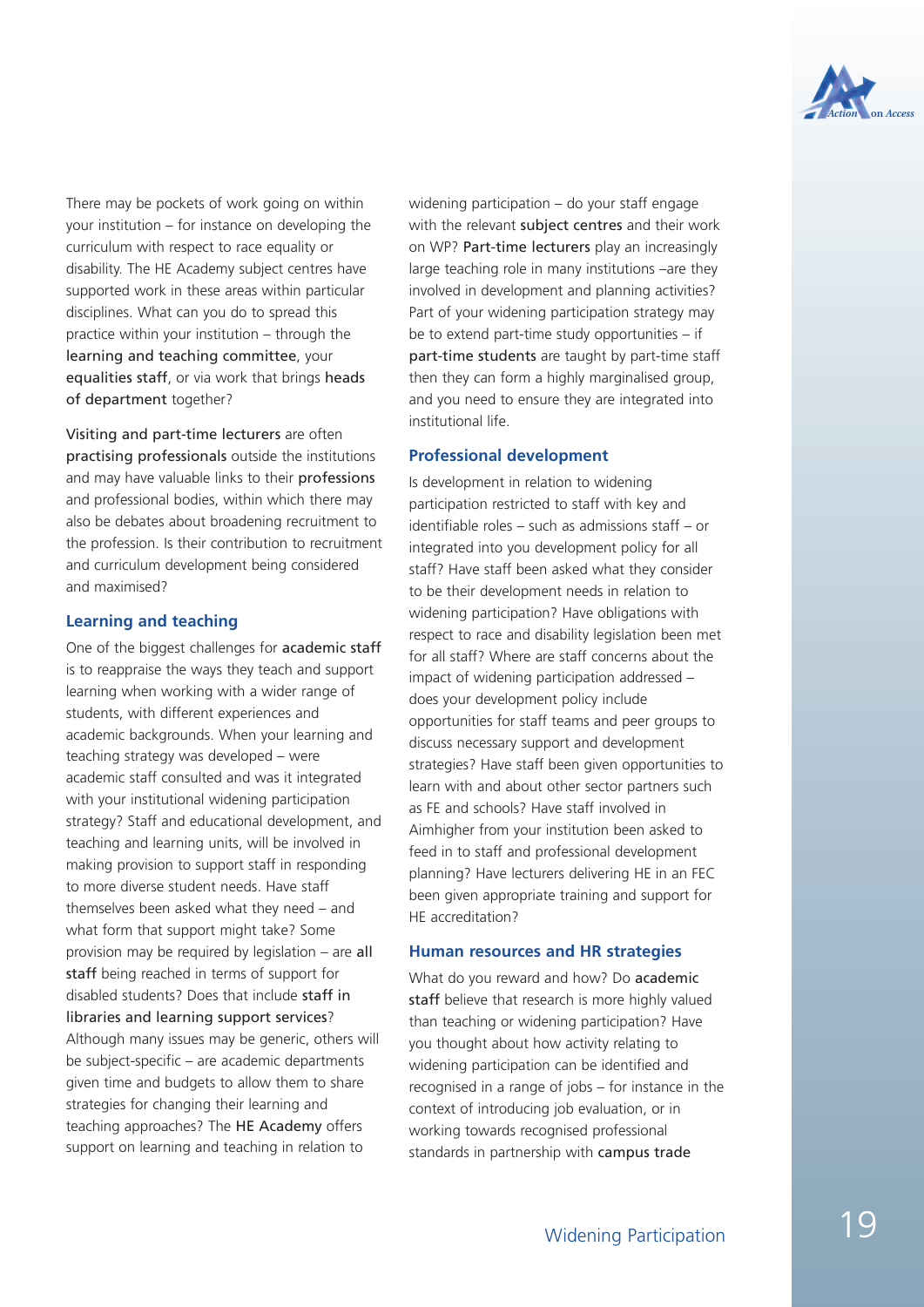

There may be pockets of work going on within your institution – for instance on developing the curriculum with respect to race equality or disability. The HE Academy subject centres have supported work in these areas within particular disciplines. What can you do to spread this practice within your institution – through the learning and teaching committee, your equalities staff, or via work that brings heads of department together?

Visiting and part-time lecturers are often practising professionals outside the institutions and may have valuable links to their professions and professional bodies, within which there may also be debates about broadening recruitment to the profession. Is their contribution to recruitment and curriculum development being considered and maximised?

#### **Learning and teaching**

One of the biggest challenges for academic staff is to reappraise the ways they teach and support learning when working with a wider range of students, with different experiences and academic backgrounds. When your learning and teaching strategy was developed – were academic staff consulted and was it integrated with your institutional widening participation strategy? Staff and educational development, and teaching and learning units, will be involved in making provision to support staff in responding to more diverse student needs. Have staff themselves been asked what they need – and what form that support might take? Some provision may be required by legislation – are all staff being reached in terms of support for disabled students? Does that include staff in libraries and learning support services? Although many issues may be generic, others will be subject-specific – are academic departments given time and budgets to allow them to share strategies for changing their learning and teaching approaches? The HE Academy offers support on learning and teaching in relation to

widening participation – do your staff engage with the relevant subject centres and their work on WP? Part-time lecturers play an increasingly large teaching role in many institutions –are they involved in development and planning activities? Part of your widening participation strategy may be to extend part-time study opportunities – if part-time students are taught by part-time staff then they can form a highly marginalised group, and you need to ensure they are integrated into institutional life.

#### **Professional development**

Is development in relation to widening participation restricted to staff with key and identifiable roles – such as admissions staff – or integrated into you development policy for all staff? Have staff been asked what they consider to be their development needs in relation to widening participation? Have obligations with respect to race and disability legislation been met for all staff? Where are staff concerns about the impact of widening participation addressed – does your development policy include opportunities for staff teams and peer groups to discuss necessary support and development strategies? Have staff been given opportunities to learn with and about other sector partners such as FE and schools? Have staff involved in Aimhigher from your institution been asked to feed in to staff and professional development planning? Have lecturers delivering HE in an FEC been given appropriate training and support for HE accreditation?

#### **Human resources and HR strategies**

What do you reward and how? Do academic staff believe that research is more highly valued than teaching or widening participation? Have you thought about how activity relating to widening participation can be identified and recognised in a range of jobs – for instance in the context of introducing job evaluation, or in working towards recognised professional standards in partnership with campus trade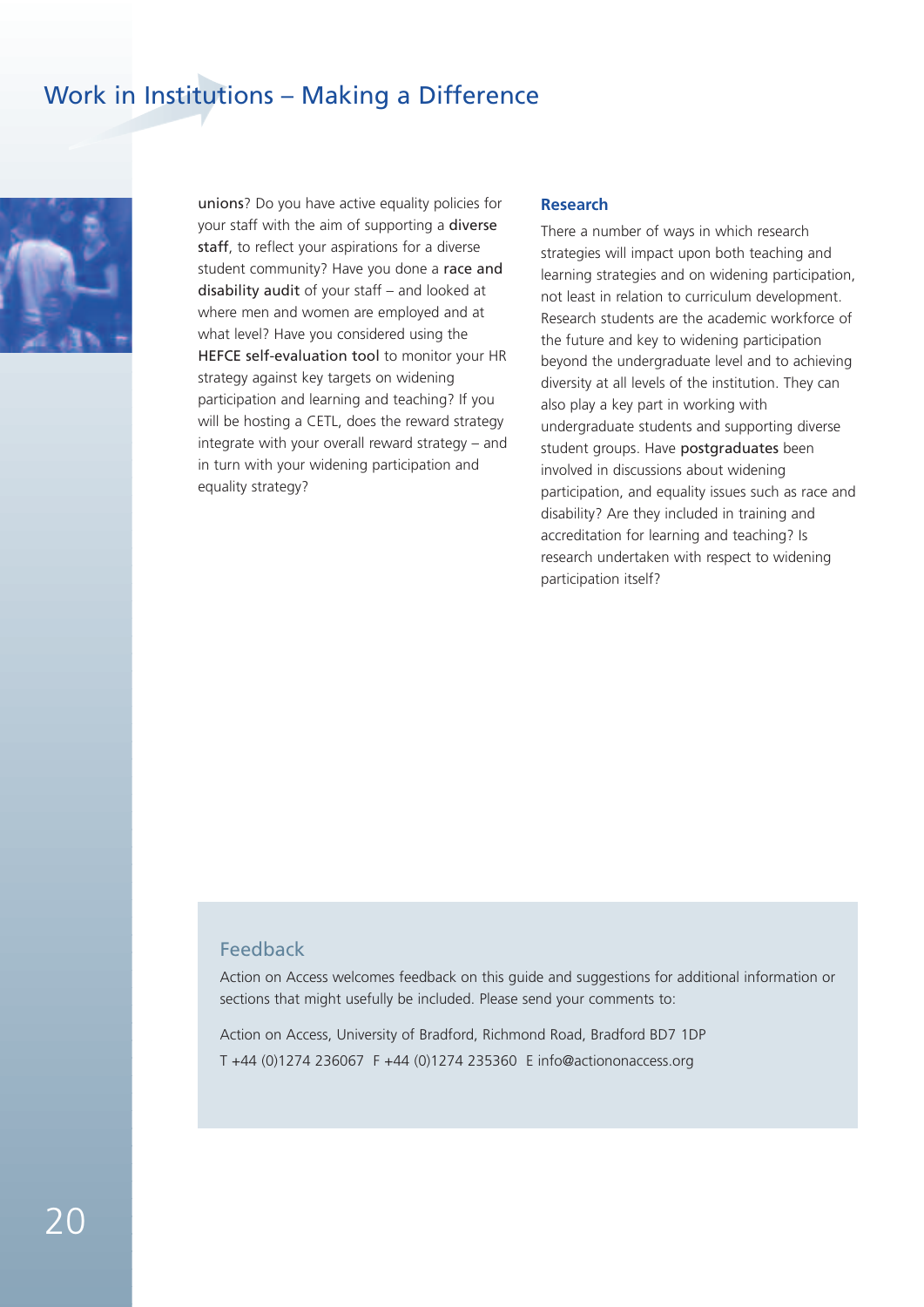### Work in Institutions – Making a Difference



unions? Do you have active equality policies for your staff with the aim of supporting a diverse staff, to reflect your aspirations for a diverse student community? Have you done a race and disability audit of your staff – and looked at where men and women are employed and at what level? Have you considered using the HEFCE self-evaluation tool to monitor your HR strategy against key targets on widening participation and learning and teaching? If you will be hosting a CETL, does the reward strategy integrate with your overall reward strategy – and in turn with your widening participation and equality strategy?

#### **Research**

There a number of ways in which research strategies will impact upon both teaching and learning strategies and on widening participation, not least in relation to curriculum development. Research students are the academic workforce of the future and key to widening participation beyond the undergraduate level and to achieving diversity at all levels of the institution. They can also play a key part in working with undergraduate students and supporting diverse student groups. Have postgraduates been involved in discussions about widening participation, and equality issues such as race and disability? Are they included in training and accreditation for learning and teaching? Is research undertaken with respect to widening participation itself?

#### Feedback

Action on Access welcomes feedback on this guide and suggestions for additional information or sections that might usefully be included. Please send your comments to:

Action on Access, University of Bradford, Richmond Road, Bradford BD7 1DP T +44 (0)1274 236067 F +44 (0)1274 235360 E info@actiononaccess.org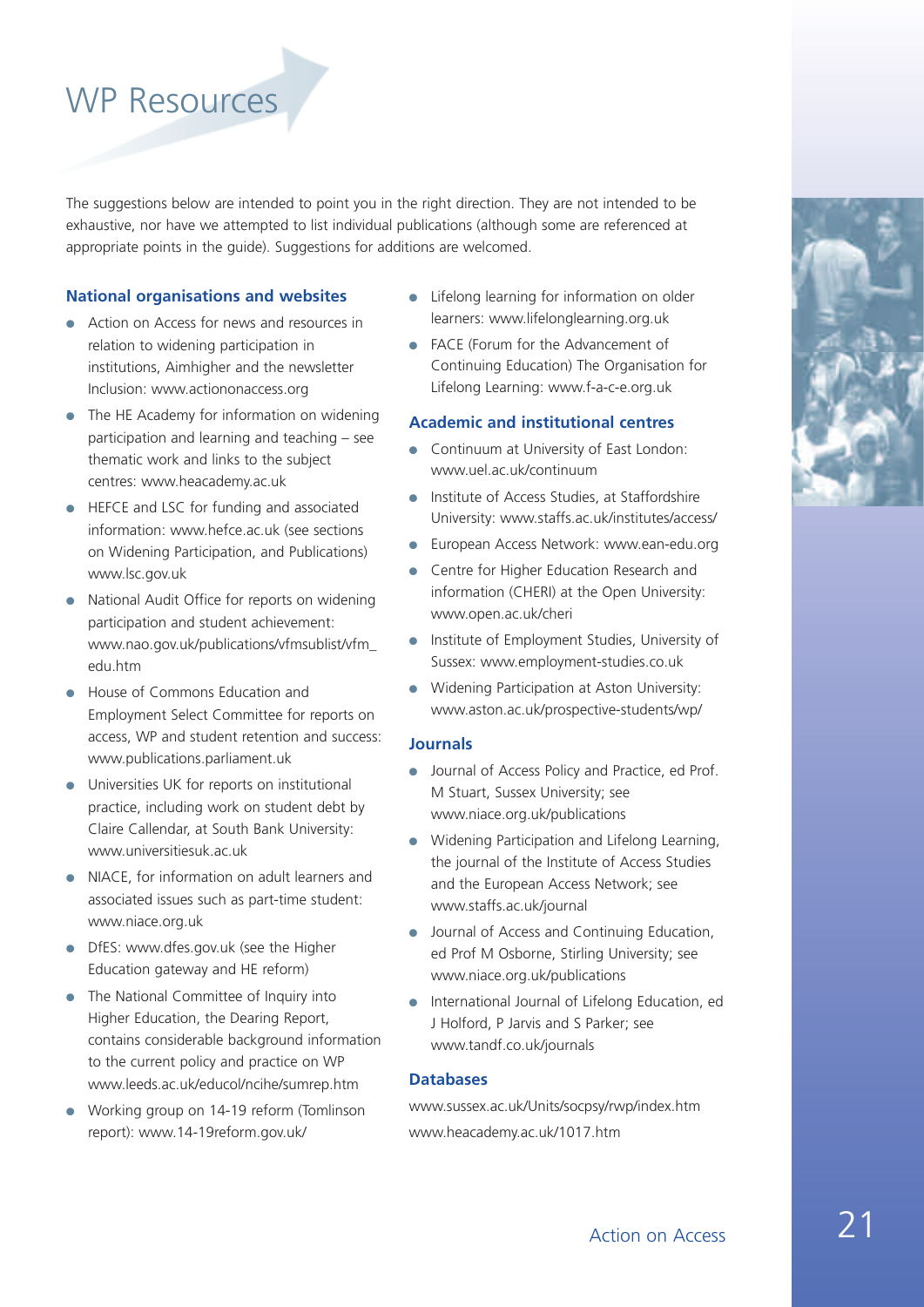## WP Resources

The suggestions below are intended to point you in the right direction. They are not intended to be exhaustive, nor have we attempted to list individual publications (although some are referenced at appropriate points in the guide). Suggestions for additions are welcomed.

#### **National organisations and websites**

- Action on Access for news and resources in relation to widening participation in institutions, Aimhigher and the newsletter Inclusion: www.actiononaccess.org
- The HE Academy for information on widening participation and learning and teaching – see thematic work and links to the subject centres: www.heacademy.ac.uk
- HEFCE and LSC for funding and associated information: www.hefce.ac.uk (see sections on Widening Participation, and Publications) www.lsc.gov.uk
- National Audit Office for reports on widening participation and student achievement: www.nao.gov.uk/publications/vfmsublist/vfm\_ edu.htm
- House of Commons Education and Employment Select Committee for reports on access, WP and student retention and success: www.publications.parliament.uk
- Universities UK for reports on institutional practice, including work on student debt by Claire Callendar, at South Bank University: www.universitiesuk.ac.uk
- NIACE, for information on adult learners and associated issues such as part-time student: www.niace.org.uk
- DfES: www.dfes.gov.uk (see the Higher Education gateway and HE reform)
- The National Committee of Inquiry into Higher Education, the Dearing Report, contains considerable background information to the current policy and practice on WP www.leeds.ac.uk/educol/ncihe/sumrep.htm
- Working group on 14-19 reform (Tomlinson report): www.14-19reform.gov.uk/
- Lifelong learning for information on older learners: www.lifelonglearning.org.uk
- FACE (Forum for the Advancement of Continuing Education) The Organisation for Lifelong Learning: www.f-a-c-e.org.uk

#### **Academic and institutional centres**

- Continuum at University of East London: www.uel.ac.uk/continuum
- Institute of Access Studies, at Staffordshire University: www.staffs.ac.uk/institutes/access/
- European Access Network: www.ean-edu.org
- Centre for Higher Education Research and information (CHERI) at the Open University: www.open.ac.uk/cheri
- Institute of Employment Studies, University of Sussex: www.employment-studies.co.uk
- Widening Participation at Aston University: www.aston.ac.uk/prospective-students/wp/

#### **Journals**

- Journal of Access Policy and Practice, ed Prof. M Stuart, Sussex University; see www.niace.org.uk/publications
- Widening Participation and Lifelong Learning, the journal of the Institute of Access Studies and the European Access Network; see www.staffs.ac.uk/journal
- Journal of Access and Continuing Education, ed Prof M Osborne, Stirling University; see www.niace.org.uk/publications
- International Journal of Lifelong Education, ed J Holford, P Jarvis and S Parker; see www.tandf.co.uk/journals

#### **Databases**

www.sussex.ac.uk/Units/socpsy/rwp/index.htm www.heacademy.ac.uk/1017.htm

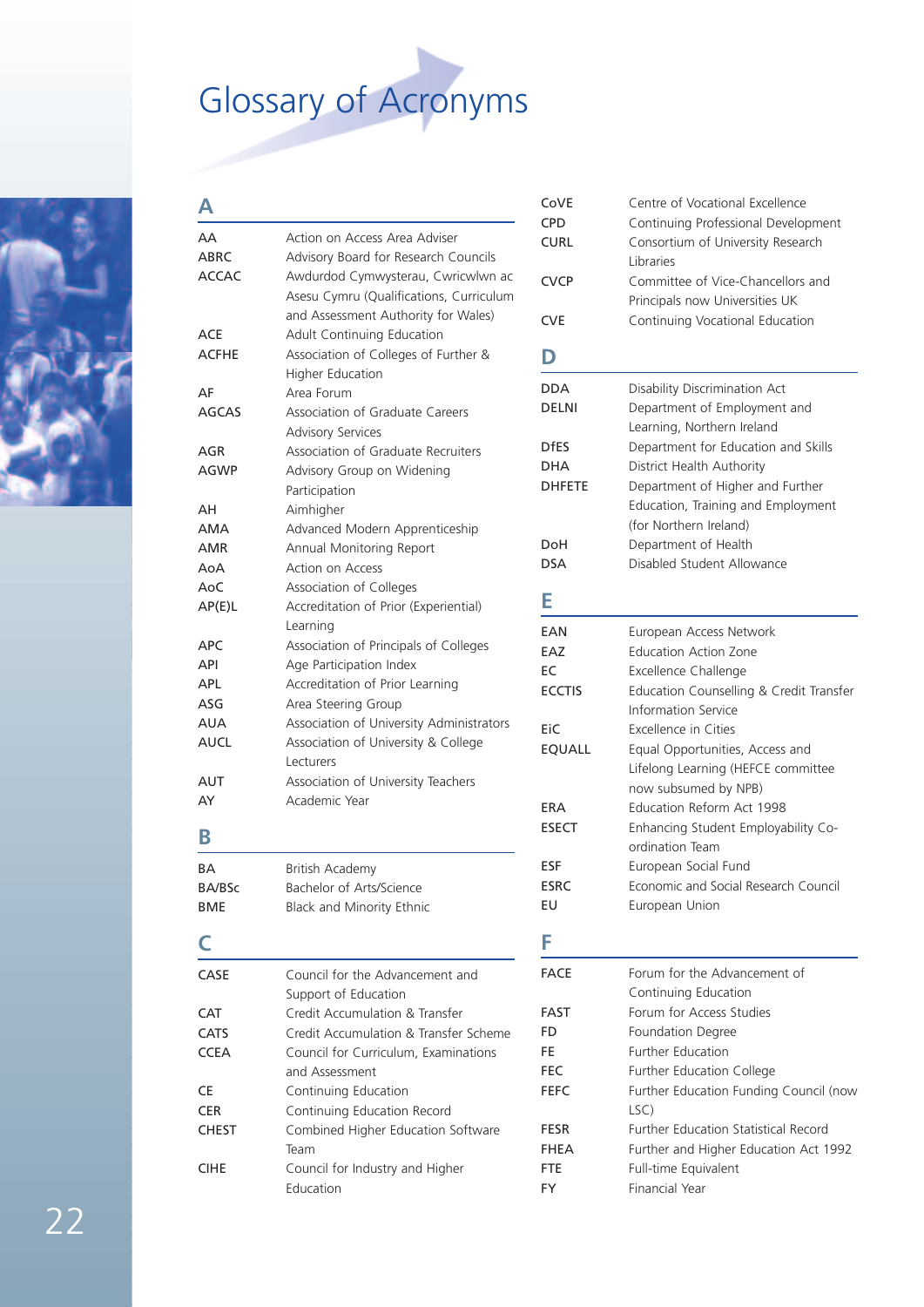## Glossary of Acronyms

### **A**

| AA<br>ABRC    | Action on Access Area Adviser<br>Advisory Board for Research Councils         | CU        |
|---------------|-------------------------------------------------------------------------------|-----------|
| ACCAC         | Awdurdod Cymwysterau, Cwricwlwn ac<br>Asesu Cymru (Qualifications, Curriculum | CV        |
| ACE           | and Assessment Authority for Wales)<br>Adult Continuing Education             | CV        |
| <b>ACFHE</b>  | Association of Colleges of Further &<br>Higher Education                      | D         |
| AF            | Area Forum                                                                    | DD        |
| AGCAS         | Association of Graduate Careers<br><b>Advisory Services</b>                   | DE        |
| AGR           | Association of Graduate Recruiters                                            | Dfl       |
| AGWP          | Advisory Group on Widening                                                    | DΗ        |
|               | Participation                                                                 | DН        |
| AH            | Aimhigher                                                                     |           |
| AMA           | Advanced Modern Apprenticeship                                                | Do        |
| AMR           | Annual Monitoring Report                                                      |           |
| AoA           | Action on Access                                                              | DS.       |
| AoC           | Association of Colleges                                                       | Е         |
| AP(E)L        | Accreditation of Prior (Experiential)<br>Learning                             |           |
| APC           | Association of Principals of Colleges                                         | EА        |
| API           | Age Participation Index                                                       | EA        |
| APL           | Accreditation of Prior Learning                                               | ЕC        |
| ASG           | Area Steering Group                                                           | EC        |
| AUA           | Association of University Administrators                                      |           |
| AUCL          | Association of University & College                                           | EiC       |
|               | Lecturers                                                                     | EQ        |
| AUT           | Association of University Teachers                                            |           |
| AY            | Academic Year                                                                 | ER.       |
| В             |                                                                               | ESI       |
| BА            | British Academy                                                               | ESI       |
| <b>BA/BSc</b> | Bachelor of Arts/Science                                                      | ESI       |
| <b>BME</b>    | Black and Minority Ethnic                                                     | EU        |
|               |                                                                               | F         |
| CASE          | Council for the Advancement and                                               | FA        |
|               | Support of Education                                                          |           |
| CAT           | Credit Accumulation & Transfer                                                | FA:       |
| <b>CATS</b>   | Credit Accumulation & Transfer Scheme                                         | FD        |
| <b>CCEA</b>   | Council for Curriculum, Examinations<br>and Assessment                        | FE.<br>FE |
| CE            | Continuing Education                                                          | FEI       |
| CER           | Continuing Education Record                                                   |           |
| CHEST         | Combined Higher Education Software                                            | FES       |
|               | Team                                                                          | FH        |
| CIHE          | Council for Industry and Higher<br>Education                                  | FTI<br>FY |

| CoVE          | Centre of Vocational Excellence                                     |
|---------------|---------------------------------------------------------------------|
| CPD           | Continuing Professional Development                                 |
| <b>CURL</b>   | Consortium of University Research<br>Libraries                      |
| <b>CVCP</b>   | Committee of Vice-Chancellors and<br>Principals now Universities UK |
| CVE           | Continuing Vocational Education                                     |
| D             |                                                                     |
| DDA           | Disability Discrimination Act                                       |
| DELNI         | Department of Employment and<br>Learning, Northern Ireland          |
| DfES          | Department for Education and Skills                                 |
| DHA           | District Health Authority                                           |
| <b>DHFETE</b> | Department of Higher and Further                                    |
|               | Education, Training and Employment<br>(for Northern Ireland)        |
| DoH           | Department of Health                                                |
| DSA           | Disabled Student Allowance                                          |
| Е             |                                                                     |
| EAN           | European Access Network                                             |
| EAZ           | <b>Education Action Zone</b>                                        |
| EC            | Excellence Challenge                                                |
| <b>ECCTIS</b> | Education Counselling & Credit Transfer                             |
|               | <b>Information Service</b>                                          |
| EiC           | Excellence in Cities                                                |
| <b>EQUALL</b> | Equal Opportunities, Access and                                     |
|               | Lifelong Learning (HEFCE committee<br>now subsumed by NPB)          |
| ERA           | Education Reform Act 1998                                           |
| ESECT         | Enhancing Student Employability Co-                                 |
|               | ordination Team                                                     |
| ESF           | European Social Fund                                                |
| <b>ESRC</b>   | Economic and Social Research Council                                |
| EU            | European Union                                                      |
| F             |                                                                     |
| FACE          | Forum for the Advancement of                                        |
|               | Continuing Education                                                |
| FAST          | Forum for Access Studies                                            |
| FD            | Foundation Degree                                                   |
| FE            | <b>Further Education</b>                                            |
| <b>FEC</b>    | Further Education College                                           |
| FEFC          | Further Education Funding Council (now<br>LSC)                      |
| FESR          | Further Education Statistical Record                                |
| FHEA          | Further and Higher Education Act 1992                               |
| FTE           | Full-time Equivalent                                                |
| FY            | Financial Year                                                      |

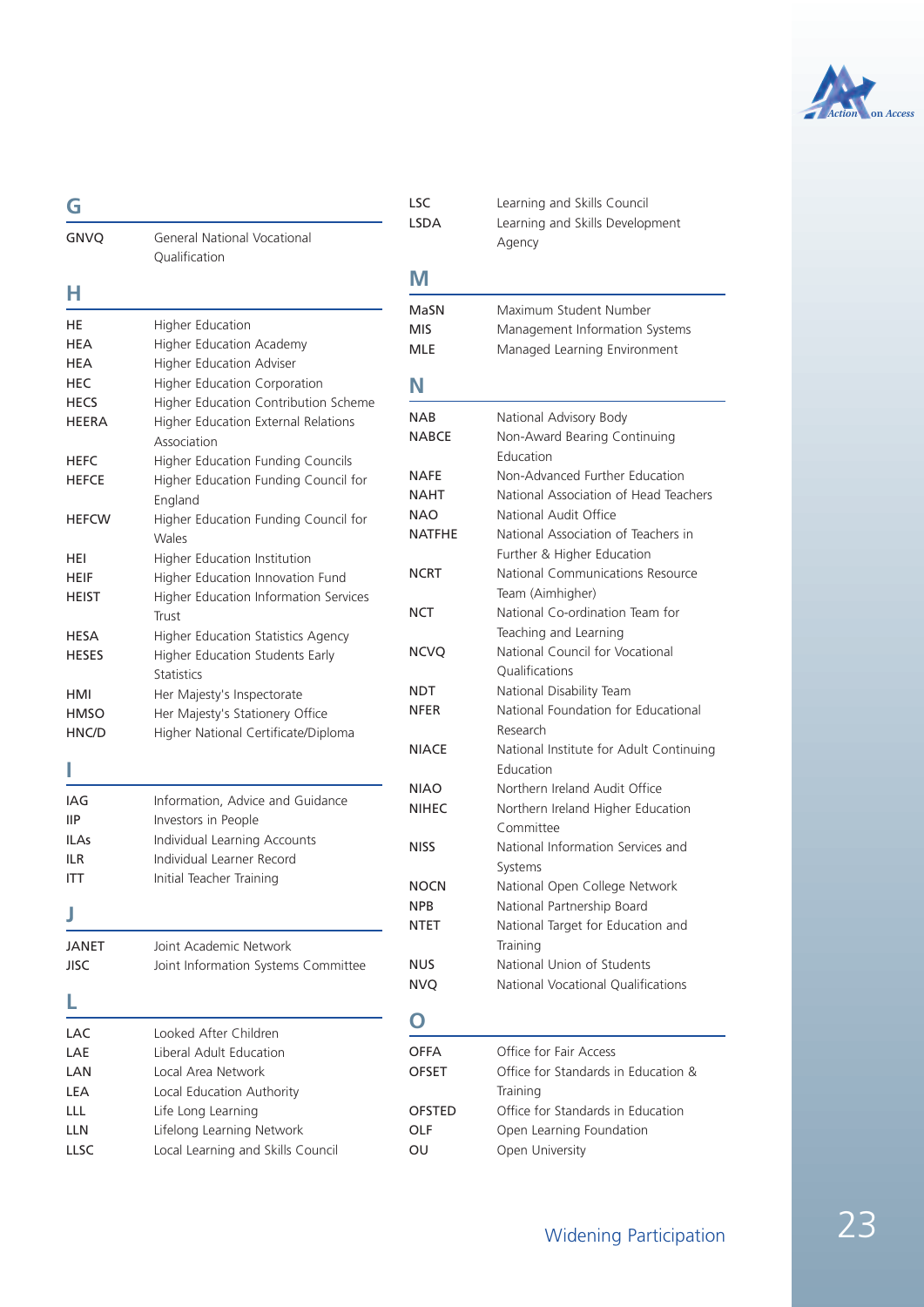

| . .<br>٠<br>٠       |
|---------------------|
|                     |
| ×<br>×<br>n a<br>., |
|                     |

#### GNVQ General National Vocational Qualification

#### **H**

| HE<br><b>HEA</b><br><b>HEA</b>     | Higher Education<br><b>Higher Education Academy</b><br>Higher Education Adviser                           | MIS<br><b>MLE</b>                 | Management Information 9<br>Managed Learning Environ                                    |
|------------------------------------|-----------------------------------------------------------------------------------------------------------|-----------------------------------|-----------------------------------------------------------------------------------------|
| <b>HEC</b><br><b>HECS</b>          | Higher Education Corporation<br>Higher Education Contribution Scheme                                      | N                                 |                                                                                         |
| HEERA                              | Higher Education External Relations<br>Association                                                        | <b>NAB</b><br><b>NABCE</b>        | National Advisory Body<br>Non-Award Bearing Contin<br>Education                         |
| HEFC<br><b>HEFCE</b>               | Higher Education Funding Councils<br>Higher Education Funding Council for<br>England                      | <b>NAFE</b><br>NAHT               | Non-Advanced Further Edu<br>National Association of Hea                                 |
| <b>HEFCW</b>                       | Higher Education Funding Council for<br>Wales                                                             | NAO<br><b>NATFHE</b>              | National Audit Office<br>National Association of Tea                                    |
| HEI<br><b>HEIF</b><br><b>HEIST</b> | Higher Education Institution<br>Higher Education Innovation Fund<br>Higher Education Information Services | NCRT                              | Further & Higher Education<br>National Communications I<br>Team (Aimhigher)             |
| <b>HESA</b>                        | Trust<br>Higher Education Statistics Agency                                                               | <b>NCT</b>                        | National Co-ordination Tea<br>Teaching and Learning                                     |
| <b>HESES</b>                       | Higher Education Students Early<br><b>Statistics</b>                                                      | <b>NCVQ</b>                       | National Council for Vocati<br>Qualifications                                           |
| HMI                                | Her Majesty's Inspectorate                                                                                | NDT                               | National Disability Team                                                                |
| <b>HMSO</b><br>HNC/D               | Her Majesty's Stationery Office<br>Higher National Certificate/Diploma                                    | NFER                              | National Foundation for Ed<br>Research                                                  |
| I                                  |                                                                                                           | <b>NIACE</b>                      | National Institute for Adult<br>Education                                               |
| IAG<br><b>IIP</b>                  | Information, Advice and Guidance<br>Investors in People                                                   | <b>NIAO</b><br><b>NIHEC</b>       | Northern Ireland Audit Offi<br>Northern Ireland Higher Ed<br>Committee                  |
| <b>ILAs</b><br><b>ILR</b><br>ITT   | Individual Learning Accounts<br>Individual Learner Record<br>Initial Teacher Training                     | <b>NISS</b>                       | National Information Servic<br>Systems                                                  |
| J                                  |                                                                                                           | <b>NOCN</b><br><b>NPB</b><br>NTET | National Open College Net<br>National Partnership Board<br>National Target for Educatio |
| <b>JANET</b>                       | Joint Academic Network                                                                                    |                                   | Training                                                                                |
| <b>JISC</b>                        | Joint Information Systems Committee                                                                       | <b>NUS</b><br><b>NVQ</b>          | National Union of Students<br>National Vocational Qualific                              |
| LAC                                | Looked After Children                                                                                     |                                   |                                                                                         |
| LAE<br>LAN                         | Liberal Adult Education<br>Local Area Network                                                             | <b>OFFA</b><br><b>OFSET</b>       | Office for Fair Access<br>Office for Standards in Edu                                   |
| LEA<br>LLL                         | Local Education Authority<br>Life Long Learning                                                           | OFSTED                            | Training<br>Office for Standards in Edu                                                 |
| LLN<br>LLSC                        | Lifelong Learning Network<br>Local Learning and Skills Council                                            | OLF<br>OU                         | Open Learning Foundation<br>Open University                                             |

| LSC<br>LSDA                                               | Learning and Skills Council<br>Learning and Skills Development<br>Agency                                                                |
|-----------------------------------------------------------|-----------------------------------------------------------------------------------------------------------------------------------------|
| Μ                                                         |                                                                                                                                         |
| MaSN<br>MIS<br>MLE                                        | Maximum Student Number<br>Management Information Systems<br>Managed Learning Environment                                                |
| N                                                         |                                                                                                                                         |
| NAB<br><b>NABCE</b>                                       | National Advisory Body<br>Non-Award Bearing Continuing<br>Education                                                                     |
| <b>NAFE</b><br><b>NAHT</b><br><b>NAO</b><br><b>NATFHE</b> | Non-Advanced Further Education<br>National Association of Head Teachers<br>National Audit Office<br>National Association of Teachers in |
| <b>NCRT</b>                                               | Further & Higher Education<br>National Communications Resource<br>Team (Aimhigher)                                                      |
| NCT                                                       | National Co-ordination Team for<br>Teaching and Learning                                                                                |
| <b>NCVQ</b>                                               | National Council for Vocational<br>Qualifications                                                                                       |
| NDT<br>NFER                                               | National Disability Team<br>National Foundation for Educational<br>Research                                                             |
| <b>NIACE</b>                                              | National Institute for Adult Continuing<br>Education                                                                                    |
| <b>NIAO</b>                                               | Northern Ireland Audit Office                                                                                                           |
| NIHEC                                                     | Northern Ireland Higher Education<br>Committee                                                                                          |
| NISS                                                      | National Information Services and<br>Systems                                                                                            |
| <b>NOCN</b>                                               | National Open College Network                                                                                                           |
| NPB                                                       | National Partnership Board                                                                                                              |
| NTET                                                      | National Target for Education and<br>Training                                                                                           |
| NUS<br><b>NVQ</b>                                         | National Union of Students<br>National Vocational Qualifications                                                                        |
|                                                           |                                                                                                                                         |
| OFFA<br><b>OFSET</b>                                      | Office for Fair Access<br>Office for Standards in Education &<br>Training                                                               |
| OFSTED                                                    | Office for Standards in Education                                                                                                       |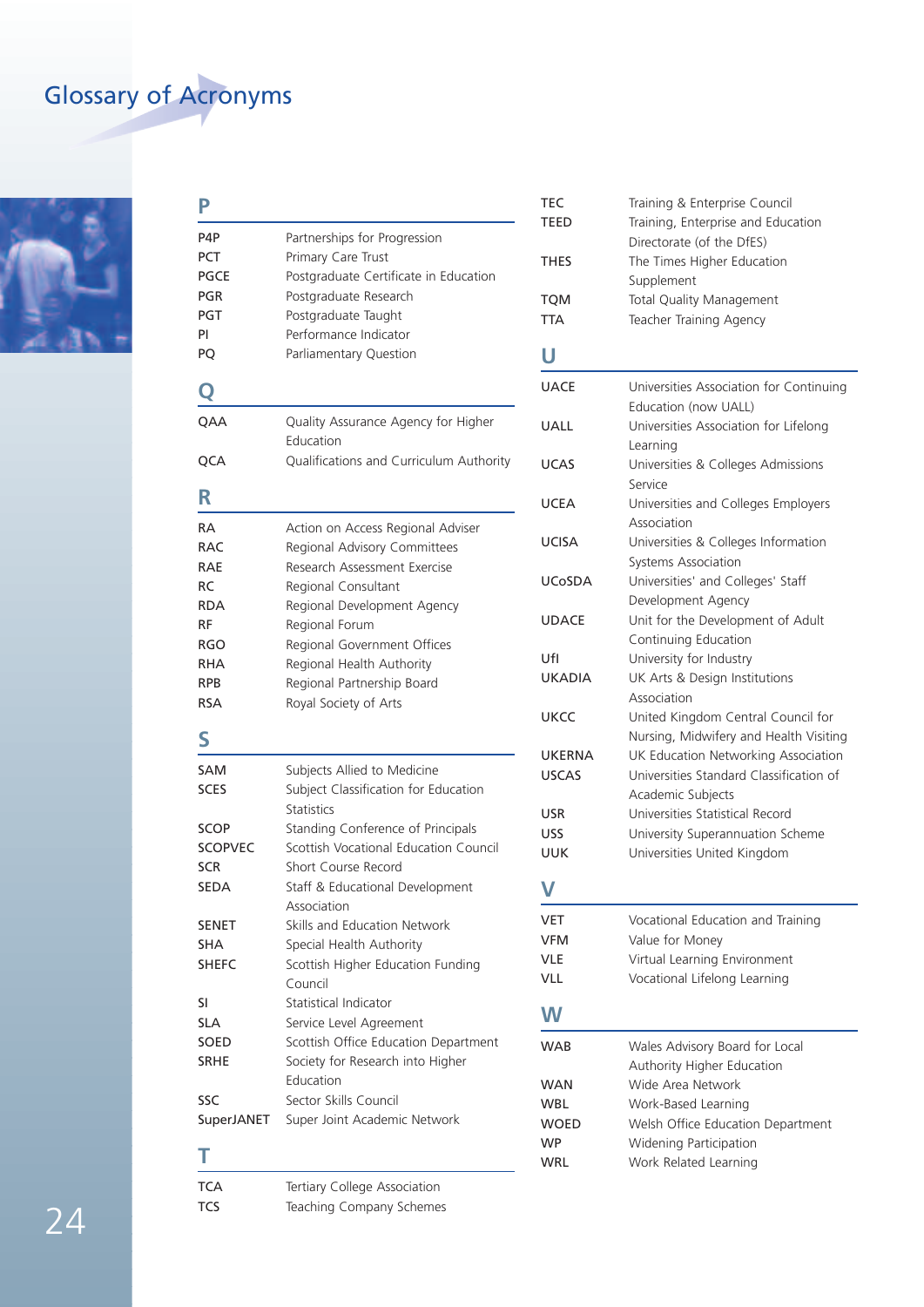## Glossary of Acronyms



| P                       |                                                                          | TEC                 |
|-------------------------|--------------------------------------------------------------------------|---------------------|
| P <sub>4</sub> P<br>PCT | Partnerships for Progression<br>Primary Care Trust                       | TEED<br><b>THES</b> |
| PGCE                    | Postgraduate Certificate in Education                                    |                     |
| PGR                     | Postgraduate Research                                                    | <b>TQM</b>          |
| PGT                     | Postgraduate Taught                                                      | TTA                 |
| PI                      | Performance Indicator                                                    |                     |
| PQ                      | Parliamentary Question                                                   | U                   |
| Q                       |                                                                          | <b>UACI</b>         |
| QAA                     | Quality Assurance Agency for Higher<br>Education                         | UALI                |
| QCA                     | Qualifications and Curriculum Authority                                  | UCA:                |
| R                       |                                                                          | UCE/                |
| RА                      | Action on Access Regional Adviser                                        |                     |
| RAC                     | Regional Advisory Committees                                             | UCIS.               |
| RAE                     | Research Assessment Exercise                                             | UCo <sub>s</sub>    |
| RC                      | Regional Consultant                                                      |                     |
| RDA                     | Regional Development Agency                                              | UDA                 |
| RF                      | Regional Forum                                                           |                     |
| RGO                     | Regional Government Offices                                              | Ufl                 |
| RHA                     | Regional Health Authority                                                | UKA                 |
| RPB<br><b>RSA</b>       | Regional Partnership Board<br>Royal Society of Arts                      |                     |
| S                       |                                                                          | <b>UKC</b>          |
|                         |                                                                          | UKEI                |
| SAM                     | Subjects Allied to Medicine                                              | USC/                |
| SCES                    | Subject Classification for Education                                     |                     |
|                         | <b>Statistics</b>                                                        | USR                 |
| SCOP                    | Standing Conference of Principals                                        | <b>USS</b>          |
| <b>SCOPVEC</b><br>SCR   | Scottish Vocational Education Council<br>Short Course Record             | <b>UUK</b>          |
| SEDA                    | Staff & Educational Development                                          |                     |
|                         | Association                                                              |                     |
| SENET                   | Skills and Education Network                                             | VET.                |
| SHA                     | Special Health Authority                                                 | VFM                 |
| SHEFC                   | Scottish Higher Education Funding<br>Council                             | VLE<br>VLL.         |
| SI                      | Statistical Indicator                                                    |                     |
| SLA                     | Service Level Agreement                                                  |                     |
| SOED<br>SRHE            | Scottish Office Education Department<br>Society for Research into Higher | WAB                 |
|                         | Education                                                                | WAN                 |
| SSC                     | Sector Skills Council                                                    | WBL                 |
| SuperJANET              | Super Joint Academic Network                                             | <b>WOE</b>          |
|                         |                                                                          | <b>WP</b>           |
|                         |                                                                          | WRL                 |
| TCA                     | Tertiary College Association                                             |                     |

TCS Teaching Company Schemes

| TEC           | Training & Enterprise Council           |  |
|---------------|-----------------------------------------|--|
| TEED          | Training, Enterprise and Education      |  |
|               | Directorate (of the DfES)               |  |
| THES          | The Times Higher Education              |  |
|               | Supplement                              |  |
| TQM           | <b>Total Quality Management</b>         |  |
| TTA           | Teacher Training Agency                 |  |
| U             |                                         |  |
| <b>UACE</b>   | Universities Association for Continuing |  |
|               | Education (now UALL)                    |  |
| UALL          | Universities Association for Lifelong   |  |
|               | Learning                                |  |
| <b>UCAS</b>   | Universities & Colleges Admissions      |  |
|               | Service                                 |  |
| UCEA          | Universities and Colleges Employers     |  |
|               | Association                             |  |
| UCISA         | Universities & Colleges Information     |  |
|               | Systems Association                     |  |
| <b>UCoSDA</b> | Universities' and Colleges' Staff       |  |
|               | Development Agency                      |  |
| UDACE         | Unit for the Development of Adult       |  |
|               | Continuing Education                    |  |
| Ufl           | University for Industry                 |  |
| <b>UKADIA</b> | UK Arts & Design Institutions           |  |
|               | Association                             |  |
| UKCC          | United Kingdom Central Council for      |  |
|               | Nursing, Midwifery and Health Visiting  |  |
| <b>UKERNA</b> | UK Education Networking Association     |  |
| <b>USCAS</b>  | Universities Standard Classification of |  |
|               | Academic Subjects                       |  |
| USR           | Universities Statistical Record         |  |
| <b>USS</b>    | University Superannuation Scheme        |  |
| UUK           | Universities United Kingdom             |  |
| V             |                                         |  |
| VET           | Vocational Education and Training       |  |
| <b>VFM</b>    | Value for Money                         |  |
| VLE           | Virtual Learning Environment            |  |
| VLL           | Vocational Lifelong Learning            |  |
|               |                                         |  |
| WAB           | Wales Advisory Board for Local          |  |
|               | Authority Higher Education              |  |
| WAN           | Wide Area Network                       |  |
| WBL           | Work-Based Learning                     |  |
| WOED          | Welsh Office Education Department       |  |
| WP.           | Widening Participation                  |  |
| WRL           | Work Related Learning                   |  |
|               |                                         |  |